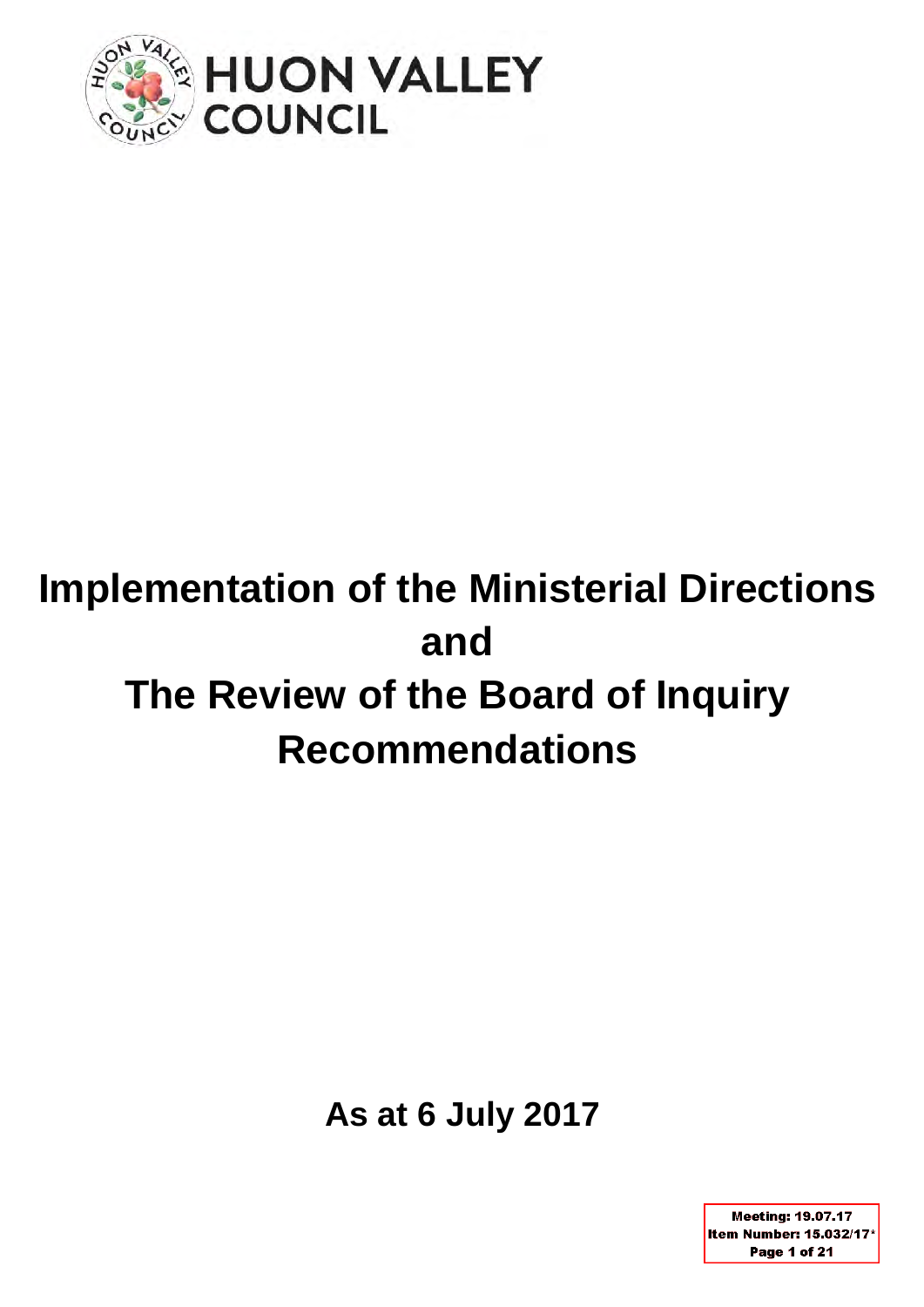

# **Implementation of the Ministerial Directions and The Review of the Board of Inquiry Recommendations**

**As at 6 July 2017**

**Meeting: 19.07.17** Item Number: 15.032/17\* Page 1 of 21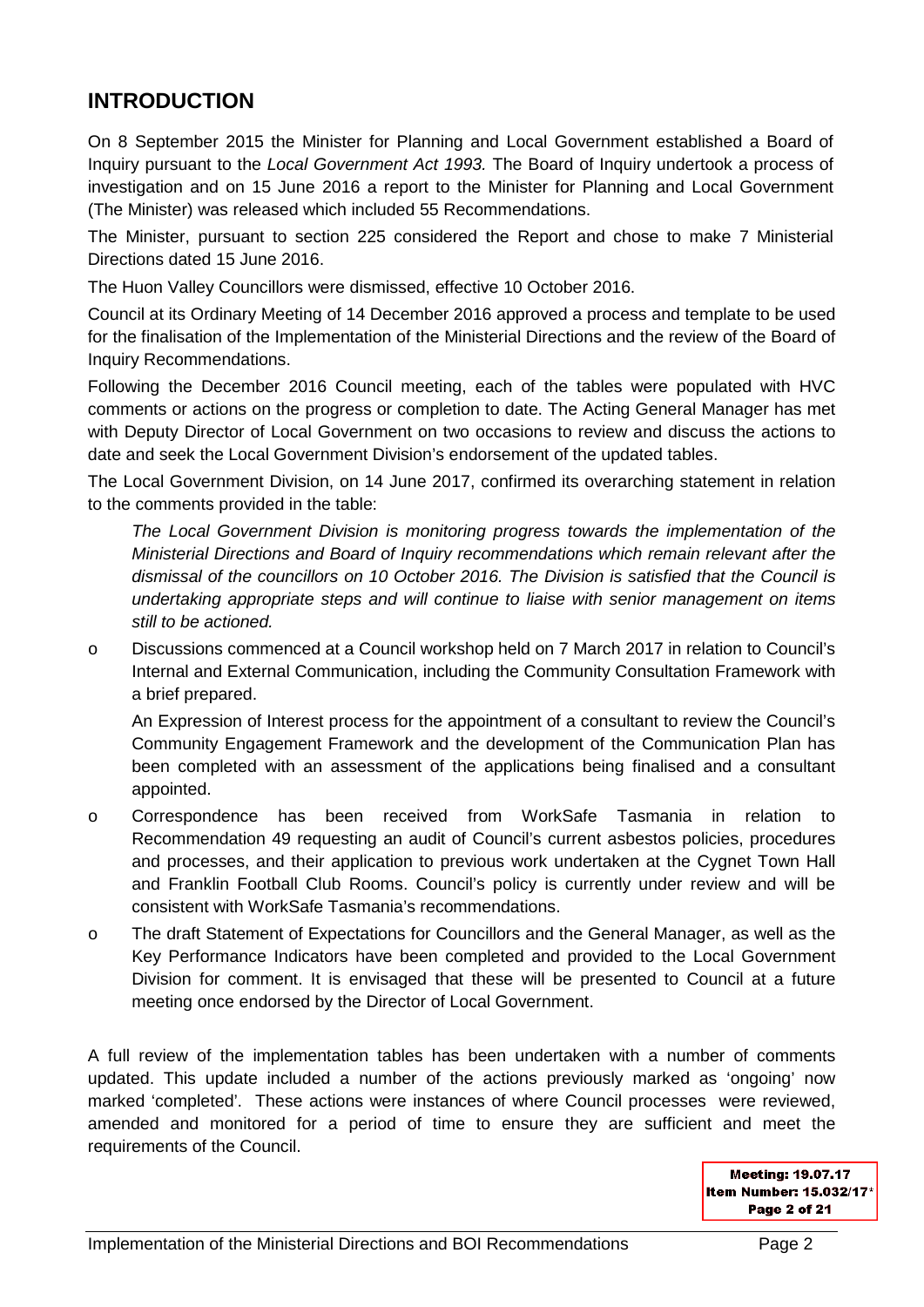### **INTRODUCTION**

On 8 September 2015 the Minister for Planning and Local Government established a Board of Inquiry pursuant to the *Local Government Act 1993.* The Board of Inquiry undertook a process of investigation and on 15 June 2016 a report to the Minister for Planning and Local Government (The Minister) was released which included 55 Recommendations.

The Minister, pursuant to section 225 considered the Report and chose to make 7 Ministerial Directions dated 15 June 2016.

The Huon Valley Councillors were dismissed, effective 10 October 2016.

Council at its Ordinary Meeting of 14 December 2016 approved a process and template to be used for the finalisation of the Implementation of the Ministerial Directions and the review of the Board of Inquiry Recommendations.

Following the December 2016 Council meeting, each of the tables were populated with HVC comments or actions on the progress or completion to date. The Acting General Manager has met with Deputy Director of Local Government on two occasions to review and discuss the actions to date and seek the Local Government Division's endorsement of the updated tables.

The Local Government Division, on 14 June 2017, confirmed its overarching statement in relation to the comments provided in the table:

*The Local Government Division is monitoring progress towards the implementation of the Ministerial Directions and Board of Inquiry recommendations which remain relevant after the dismissal of the councillors on 10 October 2016. The Division is satisfied that the Council is undertaking appropriate steps and will continue to liaise with senior management on items still to be actioned.*

o Discussions commenced at a Council workshop held on 7 March 2017 in relation to Council's Internal and External Communication, including the Community Consultation Framework with a brief prepared.

An Expression of Interest process for the appointment of a consultant to review the Council's Community Engagement Framework and the development of the Communication Plan has been completed with an assessment of the applications being finalised and a consultant appointed.

- o Correspondence has been received from WorkSafe Tasmania in relation to Recommendation 49 requesting an audit of Council's current asbestos policies, procedures and processes, and their application to previous work undertaken at the Cygnet Town Hall and Franklin Football Club Rooms. Council's policy is currently under review and will be consistent with WorkSafe Tasmania's recommendations.
- o The draft Statement of Expectations for Councillors and the General Manager, as well as the Key Performance Indicators have been completed and provided to the Local Government Division for comment. It is envisaged that these will be presented to Council at a future meeting once endorsed by the Director of Local Government.

A full review of the implementation tables has been undertaken with a number of comments updated. This update included a number of the actions previously marked as 'ongoing' now marked 'completed'. These actions were instances of where Council processes were reviewed, amended and monitored for a period of time to ensure they are sufficient and meet the requirements of the Council.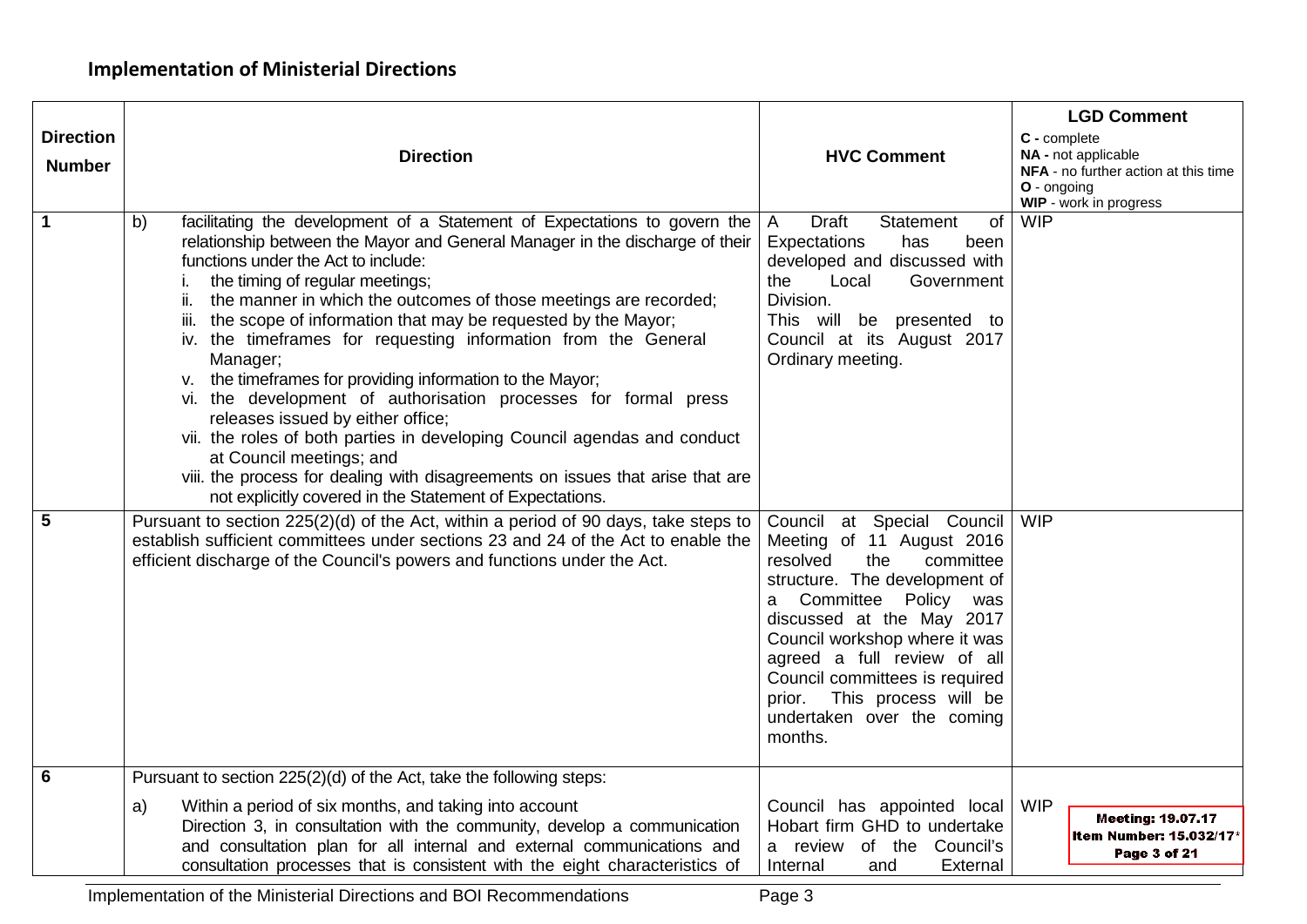| <b>Direction</b><br><b>Number</b> | <b>Direction</b>                                                                                                                                                                                                                                                                                                                                                                                                                                                                                                                                                                                                                                                                                                                                                                                                                                                                                   | <b>HVC Comment</b>                                                                                                                                                                                                                                                                                                                                                 | <b>LGD Comment</b><br>C - complete<br>NA - not applicable<br>NFA - no further action at this time<br>O - ongoing<br>WIP - work in progress |
|-----------------------------------|----------------------------------------------------------------------------------------------------------------------------------------------------------------------------------------------------------------------------------------------------------------------------------------------------------------------------------------------------------------------------------------------------------------------------------------------------------------------------------------------------------------------------------------------------------------------------------------------------------------------------------------------------------------------------------------------------------------------------------------------------------------------------------------------------------------------------------------------------------------------------------------------------|--------------------------------------------------------------------------------------------------------------------------------------------------------------------------------------------------------------------------------------------------------------------------------------------------------------------------------------------------------------------|--------------------------------------------------------------------------------------------------------------------------------------------|
| 1                                 | facilitating the development of a Statement of Expectations to govern the<br>b)<br>relationship between the Mayor and General Manager in the discharge of their<br>functions under the Act to include:<br>the timing of regular meetings;<br>the manner in which the outcomes of those meetings are recorded;<br>ii.<br>iii. the scope of information that may be requested by the Mayor;<br>iv. the timeframes for requesting information from the General<br>Manager;<br>v. the timeframes for providing information to the Mayor;<br>vi. the development of authorisation processes for formal press<br>releases issued by either office;<br>vii. the roles of both parties in developing Council agendas and conduct<br>at Council meetings; and<br>viii. the process for dealing with disagreements on issues that arise that are<br>not explicitly covered in the Statement of Expectations. | <b>Draft</b><br><b>Statement</b><br>of<br>$\overline{A}$<br>Expectations<br>has<br>been<br>developed and discussed with<br>Local<br>the<br>Government<br>Division.<br>This will be presented to<br>Council at its August 2017<br>Ordinary meeting.                                                                                                                 | <b>WIP</b>                                                                                                                                 |
| 5                                 | Pursuant to section 225(2)(d) of the Act, within a period of 90 days, take steps to<br>establish sufficient committees under sections 23 and 24 of the Act to enable the<br>efficient discharge of the Council's powers and functions under the Act.                                                                                                                                                                                                                                                                                                                                                                                                                                                                                                                                                                                                                                               | Council at Special Council<br>Meeting of 11 August 2016<br>resolved<br>the<br>committee<br>structure. The development of<br>Committee<br>Policy<br>was<br>a<br>discussed at the May 2017<br>Council workshop where it was<br>agreed a full review of all<br>Council committees is required<br>prior. This process will be<br>undertaken over the coming<br>months. | <b>WIP</b>                                                                                                                                 |
| 6                                 | Pursuant to section 225(2)(d) of the Act, take the following steps:                                                                                                                                                                                                                                                                                                                                                                                                                                                                                                                                                                                                                                                                                                                                                                                                                                |                                                                                                                                                                                                                                                                                                                                                                    |                                                                                                                                            |
|                                   | Within a period of six months, and taking into account<br>a)<br>Direction 3, in consultation with the community, develop a communication<br>and consultation plan for all internal and external communications and<br>consultation processes that is consistent with the eight characteristics of                                                                                                                                                                                                                                                                                                                                                                                                                                                                                                                                                                                                  | Council has appointed local<br>Hobart firm GHD to undertake<br>a review of the Council's<br>Internal<br>External<br>and                                                                                                                                                                                                                                            | <b>WIP</b><br><b>Meeting: 19.07.17</b><br>Item Number: 15.032/17*<br>Page 3 of 21                                                          |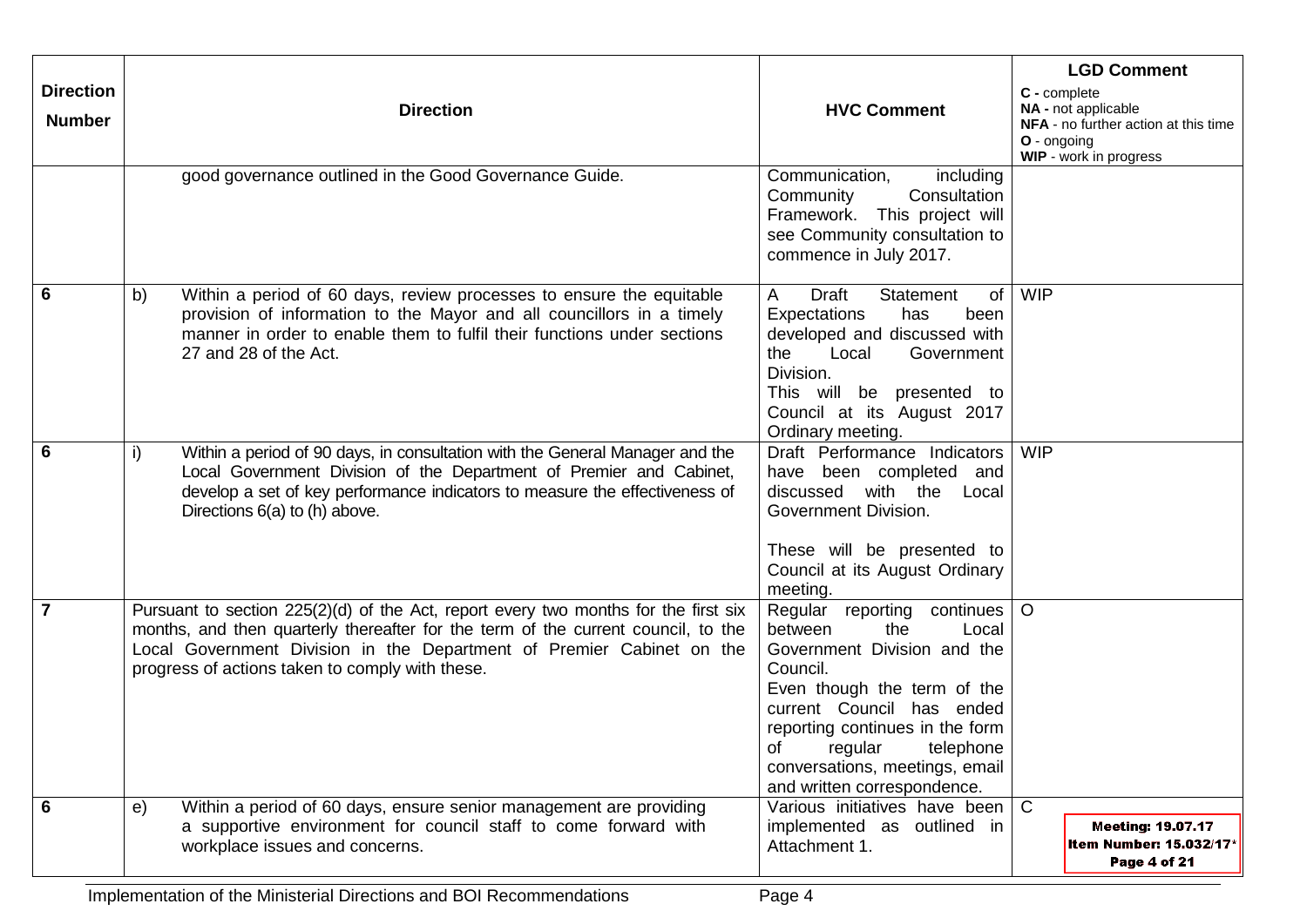| <b>Direction</b><br><b>Number</b> | <b>Direction</b>                                                                                                                                                                                                                                                                                     | <b>HVC Comment</b>                                                                                                                                                                                                                                                                        | <b>LGD Comment</b><br>C - complete<br>NA - not applicable<br>NFA - no further action at this time<br>O - ongoing<br>WIP - work in progress |
|-----------------------------------|------------------------------------------------------------------------------------------------------------------------------------------------------------------------------------------------------------------------------------------------------------------------------------------------------|-------------------------------------------------------------------------------------------------------------------------------------------------------------------------------------------------------------------------------------------------------------------------------------------|--------------------------------------------------------------------------------------------------------------------------------------------|
|                                   | good governance outlined in the Good Governance Guide.                                                                                                                                                                                                                                               | Communication,<br>including<br>Community<br>Consultation<br>This project will<br>Framework.<br>see Community consultation to<br>commence in July 2017.                                                                                                                                    |                                                                                                                                            |
| 6                                 | b)<br>Within a period of 60 days, review processes to ensure the equitable<br>provision of information to the Mayor and all councillors in a timely<br>manner in order to enable them to fulfil their functions under sections<br>27 and 28 of the Act.                                              | A<br>Draft<br>Statement<br>of<br>Expectations<br>has<br>been<br>developed and discussed with<br>the<br>Local<br>Government<br>Division.<br>This will be presented to<br>Council at its August 2017<br>Ordinary meeting.                                                                   | <b>WIP</b>                                                                                                                                 |
| $6\phantom{1}6$                   | Within a period of 90 days, in consultation with the General Manager and the<br>i)<br>Local Government Division of the Department of Premier and Cabinet,<br>develop a set of key performance indicators to measure the effectiveness of<br>Directions 6(a) to (h) above.                            | Draft Performance Indicators<br>have been completed and<br>discussed with the Local<br>Government Division.<br>These will be presented to<br>Council at its August Ordinary<br>meeting.                                                                                                   | <b>WIP</b>                                                                                                                                 |
| $\overline{7}$                    | Pursuant to section 225(2)(d) of the Act, report every two months for the first six<br>months, and then quarterly thereafter for the term of the current council, to the<br>Local Government Division in the Department of Premier Cabinet on the<br>progress of actions taken to comply with these. | Regular reporting continues<br>the<br>between<br>Local<br>Government Division and the<br>Council.<br>Even though the term of the<br>current Council has ended<br>reporting continues in the form<br>of regular telephone<br>conversations, meetings, email<br>and written correspondence. | $\circ$                                                                                                                                    |
| 6                                 | Within a period of 60 days, ensure senior management are providing<br>e)<br>a supportive environment for council staff to come forward with<br>workplace issues and concerns.                                                                                                                        | Various initiatives have been<br>implemented as outlined in<br>Attachment 1.                                                                                                                                                                                                              | $\mathsf{C}$<br><b>Meeting: 19.07.17</b><br>Item Number: 15.032/17*<br>Page 4 of 21                                                        |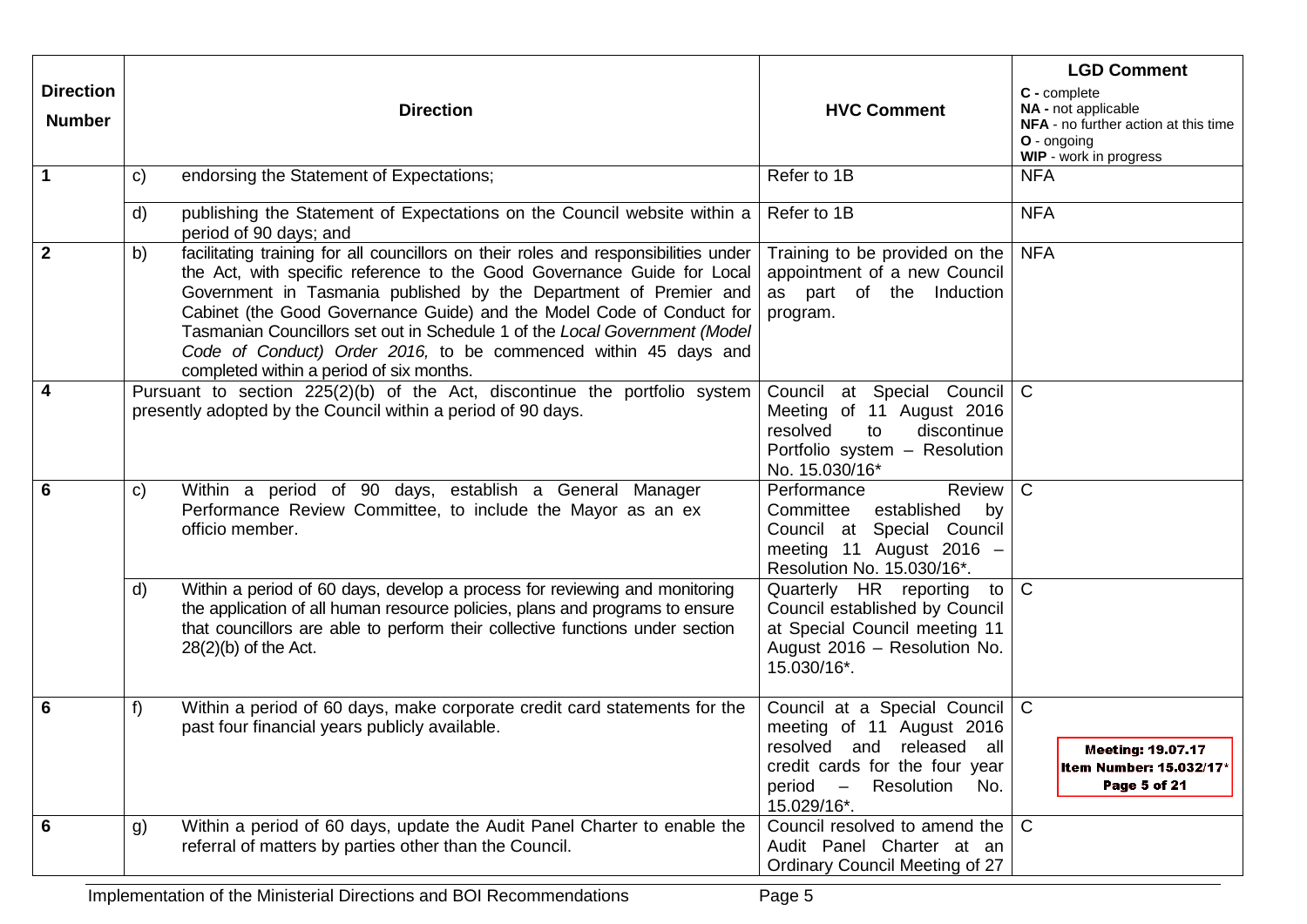| <b>Direction</b><br><b>Number</b> |    | <b>Direction</b>                                                                                                                                                                                                                                                                                                                                                                                                                                                                                          | <b>HVC Comment</b>                                                                                                                                                       | <b>LGD Comment</b><br>C - complete<br>NA - not applicable<br>NFA - no further action at this time<br>O - ongoing<br>WIP - work in progress |
|-----------------------------------|----|-----------------------------------------------------------------------------------------------------------------------------------------------------------------------------------------------------------------------------------------------------------------------------------------------------------------------------------------------------------------------------------------------------------------------------------------------------------------------------------------------------------|--------------------------------------------------------------------------------------------------------------------------------------------------------------------------|--------------------------------------------------------------------------------------------------------------------------------------------|
| $\mathbf{1}$                      | C) | endorsing the Statement of Expectations;                                                                                                                                                                                                                                                                                                                                                                                                                                                                  | Refer to 1B                                                                                                                                                              | <b>NFA</b>                                                                                                                                 |
|                                   | d) | publishing the Statement of Expectations on the Council website within a<br>period of 90 days; and                                                                                                                                                                                                                                                                                                                                                                                                        | Refer to 1B                                                                                                                                                              | <b>NFA</b>                                                                                                                                 |
| $\overline{2}$                    | b) | facilitating training for all councillors on their roles and responsibilities under<br>the Act, with specific reference to the Good Governance Guide for Local<br>Government in Tasmania published by the Department of Premier and<br>Cabinet (the Good Governance Guide) and the Model Code of Conduct for<br>Tasmanian Councillors set out in Schedule 1 of the Local Government (Model<br>Code of Conduct) Order 2016, to be commenced within 45 days and<br>completed within a period of six months. | Training to be provided on the<br>appointment of a new Council<br>as part of the Induction<br>program.                                                                   | <b>NFA</b>                                                                                                                                 |
| $\overline{4}$                    |    | Pursuant to section 225(2)(b) of the Act, discontinue the portfolio system<br>presently adopted by the Council within a period of 90 days.                                                                                                                                                                                                                                                                                                                                                                | at Special Council<br>Council<br>Meeting of 11 August 2016<br>discontinue<br>resolved<br>to<br>Portfolio system - Resolution<br>No. 15.030/16*                           | $\mathsf{C}$                                                                                                                               |
| $6\phantom{1}6$                   | C) | Within a period of 90 days, establish a General Manager<br>Performance Review Committee, to include the Mayor as an ex<br>officio member.                                                                                                                                                                                                                                                                                                                                                                 | Review<br>Performance<br>Committee<br>established<br>by<br>Council at Special Council<br>meeting 11 August 2016 -<br>Resolution No. 15.030/16*.                          | $\mathsf{C}$                                                                                                                               |
|                                   | d) | Within a period of 60 days, develop a process for reviewing and monitoring<br>the application of all human resource policies, plans and programs to ensure<br>that councillors are able to perform their collective functions under section<br>$28(2)(b)$ of the Act.                                                                                                                                                                                                                                     | Quarterly HR reporting<br>to I<br>Council established by Council<br>at Special Council meeting 11<br>August 2016 - Resolution No.<br>15.030/16*.                         | $\mathsf{C}$                                                                                                                               |
| $6\phantom{1}6$                   | f) | Within a period of 60 days, make corporate credit card statements for the<br>past four financial years publicly available.                                                                                                                                                                                                                                                                                                                                                                                | Council at a Special Council<br>meeting of 11 August 2016<br>resolved and released all<br>credit cards for the four year<br>period -<br>Resolution<br>No.<br>15.029/16*. | $\mathsf{C}$<br><b>Meeting: 19.07.17</b><br>Item Number: 15.032/17*<br>Page 5 of 21                                                        |
| $6\phantom{1}6$                   | g) | Within a period of 60 days, update the Audit Panel Charter to enable the<br>referral of matters by parties other than the Council.                                                                                                                                                                                                                                                                                                                                                                        | Council resolved to amend the<br>Audit Panel Charter at an<br>Ordinary Council Meeting of 27                                                                             | $\mathsf{C}$                                                                                                                               |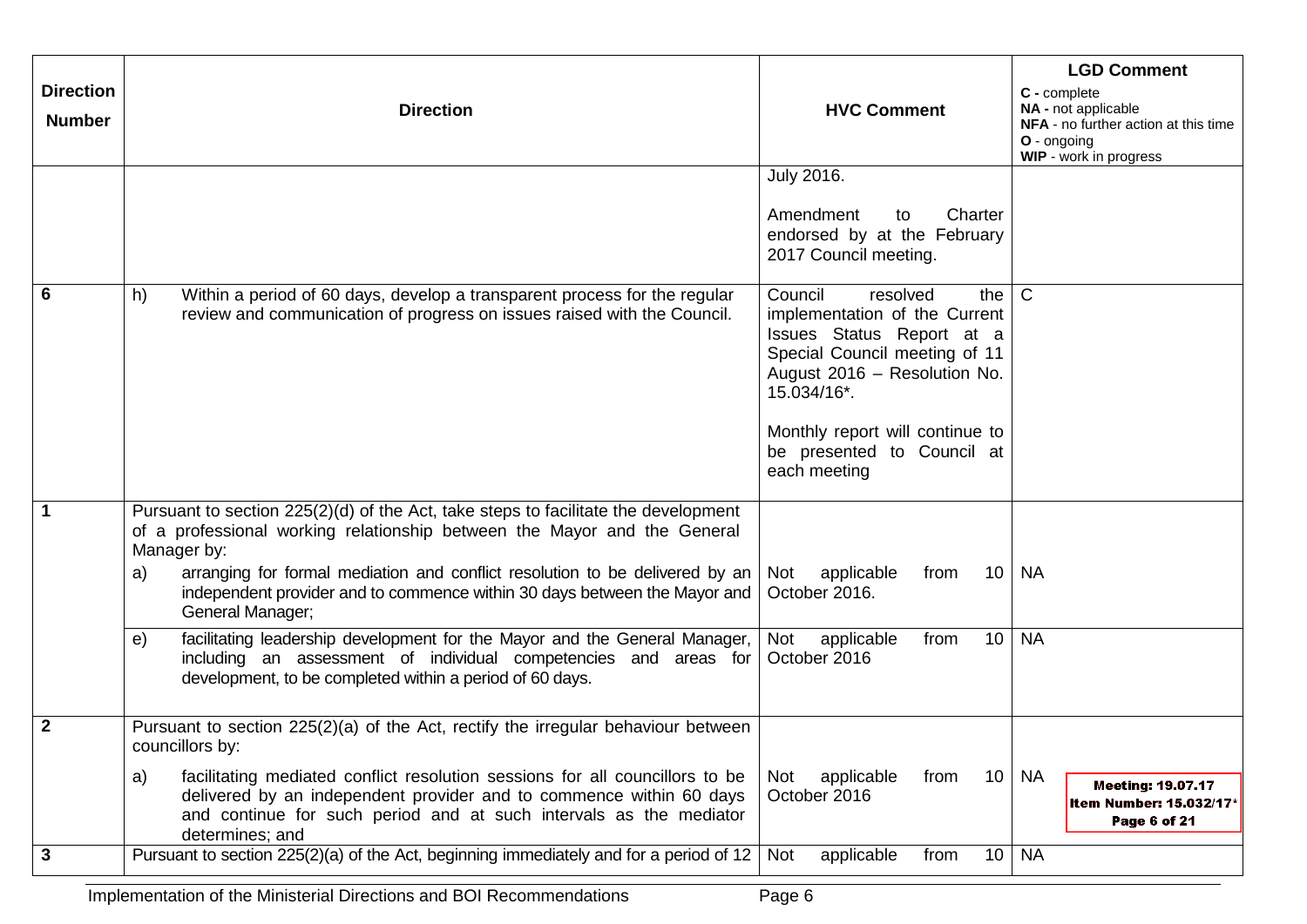| <b>Direction</b><br><b>Number</b> | <b>Direction</b>                                                                                                                                                                                                                                                                                                                                                                                                                                         | <b>HVC Comment</b>                                                                                                                                                                                                                                          | <b>LGD Comment</b><br>C - complete<br>NA - not applicable<br>NFA - no further action at this time<br>O - ongoing<br>WIP - work in progress |
|-----------------------------------|----------------------------------------------------------------------------------------------------------------------------------------------------------------------------------------------------------------------------------------------------------------------------------------------------------------------------------------------------------------------------------------------------------------------------------------------------------|-------------------------------------------------------------------------------------------------------------------------------------------------------------------------------------------------------------------------------------------------------------|--------------------------------------------------------------------------------------------------------------------------------------------|
|                                   |                                                                                                                                                                                                                                                                                                                                                                                                                                                          | <b>July 2016.</b><br>Charter<br>Amendment<br>to<br>endorsed by at the February<br>2017 Council meeting.                                                                                                                                                     |                                                                                                                                            |
| $\overline{6}$                    | h)<br>Within a period of 60 days, develop a transparent process for the regular<br>review and communication of progress on issues raised with the Council.                                                                                                                                                                                                                                                                                               | Council<br>resolved<br>the I<br>implementation of the Current<br>Issues Status Report at a<br>Special Council meeting of 11<br>August 2016 - Resolution No.<br>15.034/16*.<br>Monthly report will continue to<br>be presented to Council at<br>each meeting | $\mathsf{C}$                                                                                                                               |
| $\mathbf 1$                       | Pursuant to section 225(2)(d) of the Act, take steps to facilitate the development<br>of a professional working relationship between the Mayor and the General<br>Manager by:<br>arranging for formal mediation and conflict resolution to be delivered by an<br>a)<br>independent provider and to commence within 30 days between the Mayor and<br>General Manager;<br>facilitating leadership development for the Mayor and the General Manager,<br>e) | applicable<br>10<br>Not<br>from<br>October 2016.<br>10<br>Not<br>applicable<br>from                                                                                                                                                                         | <b>NA</b><br><b>NA</b>                                                                                                                     |
|                                   | including an assessment of individual competencies and areas for<br>development, to be completed within a period of 60 days.                                                                                                                                                                                                                                                                                                                             | October 2016                                                                                                                                                                                                                                                |                                                                                                                                            |
| $\overline{2}$                    | Pursuant to section $225(2)(a)$ of the Act, rectify the irregular behaviour between<br>councillors by:<br>facilitating mediated conflict resolution sessions for all councillors to be<br>a)<br>delivered by an independent provider and to commence within 60 days                                                                                                                                                                                      | 10<br>applicable<br>Not<br>from<br>October 2016                                                                                                                                                                                                             | <b>NA</b><br><b>Meeting: 19.07.17</b><br><b>Item Number: 15.032/17*</b>                                                                    |
| $\mathbf{3}$                      | and continue for such period and at such intervals as the mediator<br>determines; and<br>Pursuant to section 225(2)(a) of the Act, beginning immediately and for a period of 12                                                                                                                                                                                                                                                                          | Not<br>applicable<br>10 <sup>1</sup><br>from                                                                                                                                                                                                                | Page 6 of 21<br><b>NA</b>                                                                                                                  |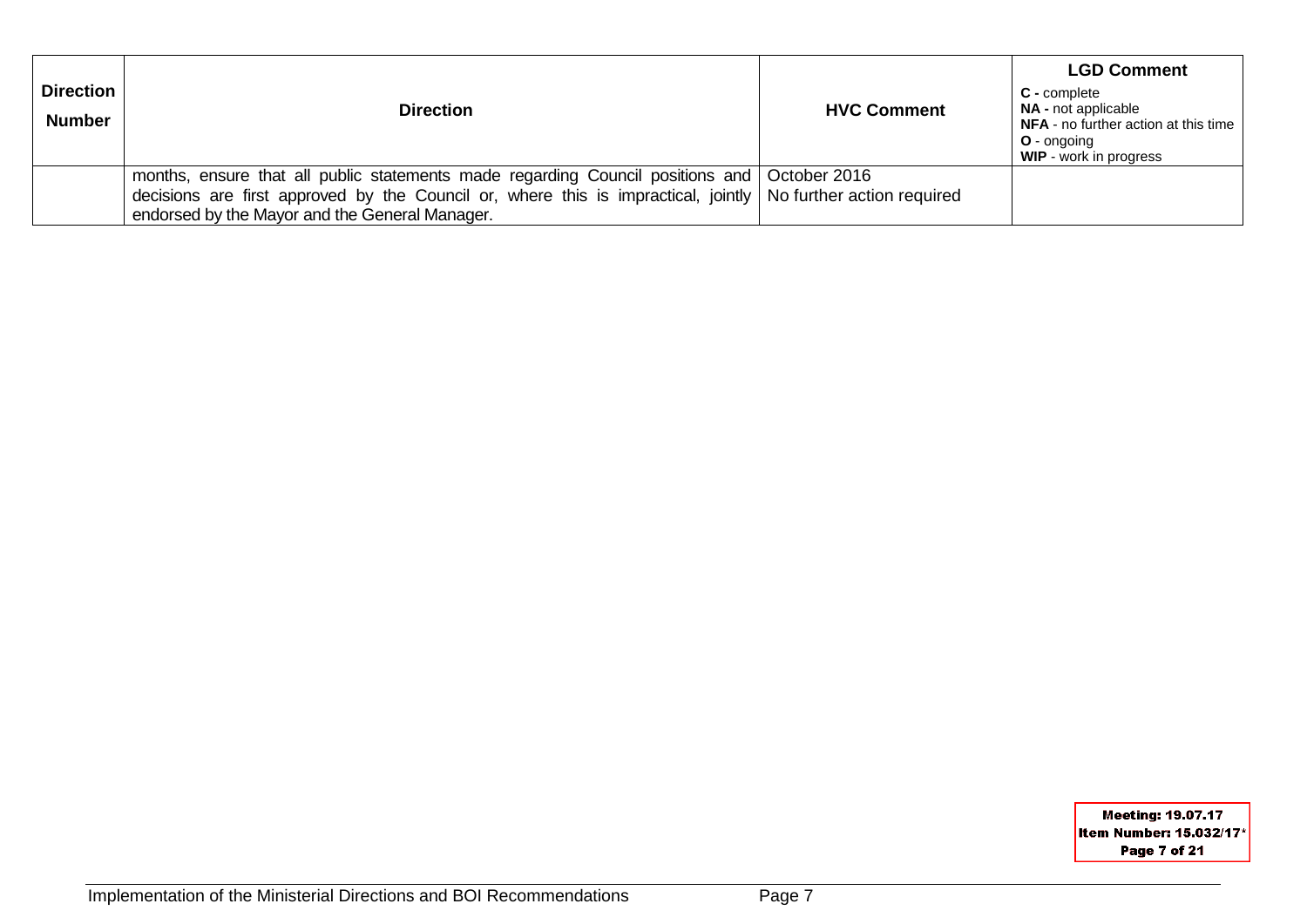| <b>Direction</b><br><b>Number</b> | <b>Direction</b>                                                                                                                                                                                                                                                 | <b>HVC Comment</b> | <b>LGD Comment</b><br>C - complete<br><b>NA</b> - not applicable<br>NFA - no further action at this time<br>O - ongoing<br><b>WIP</b> - work in progress |
|-----------------------------------|------------------------------------------------------------------------------------------------------------------------------------------------------------------------------------------------------------------------------------------------------------------|--------------------|----------------------------------------------------------------------------------------------------------------------------------------------------------|
|                                   | months, ensure that all public statements made regarding Council positions and October 2016<br>decisions are first approved by the Council or, where this is impractical, jointly   No further action required<br>endorsed by the Mayor and the General Manager. |                    |                                                                                                                                                          |

Meeting: 19.07.17 Item Number: 15.032/17\* Page 7 of 21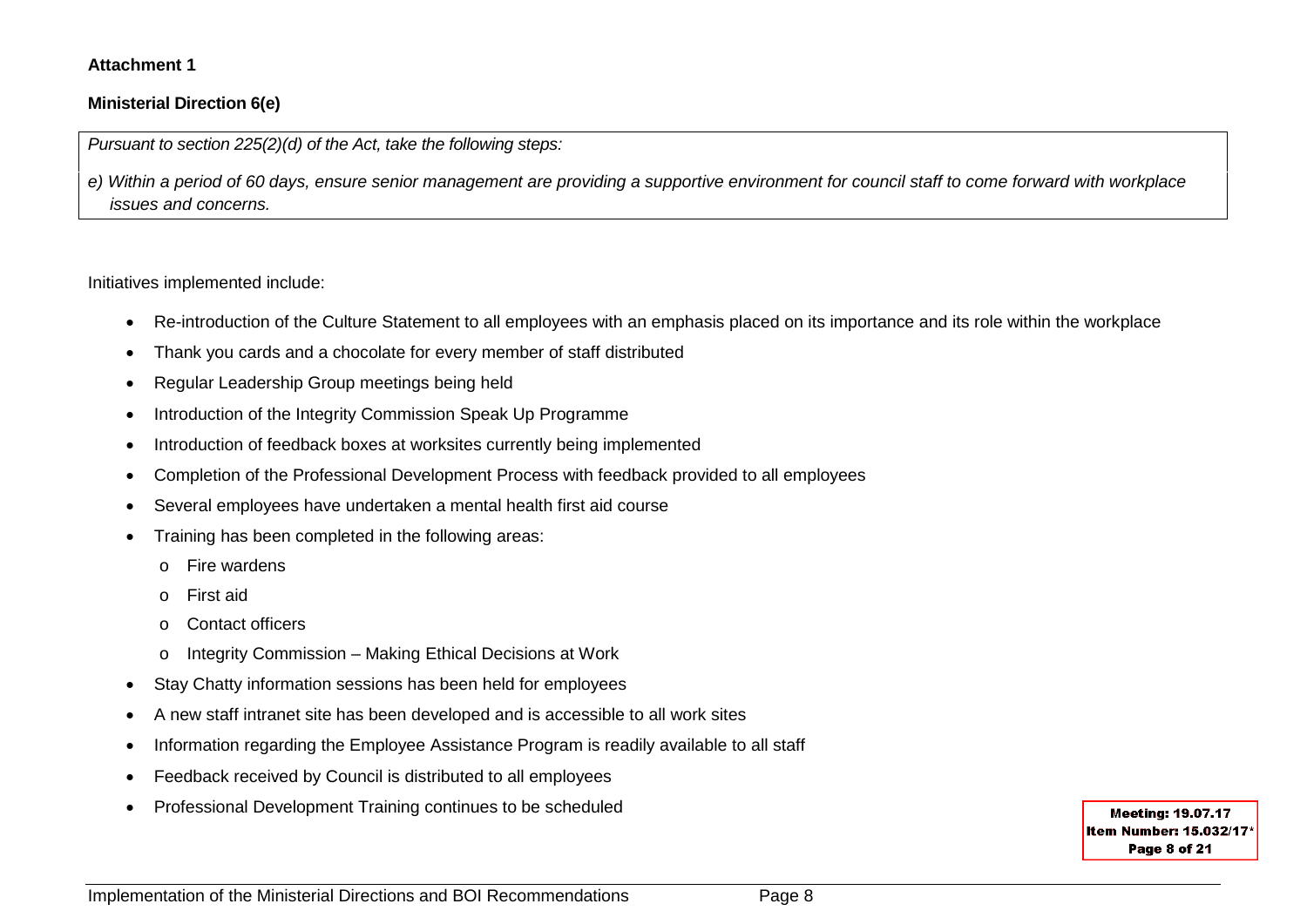#### **Attachment 1**

#### **Ministerial Direction 6(e)**

*Pursuant to section 225(2)(d) of the Act, take the following steps:*

*e) Within a period of 60 days, ensure senior management are providing a supportive environment for council staff to come forward with workplace issues and concerns.*

Initiatives implemented include:

- Re-introduction of the Culture Statement to all employees with an emphasis placed on its importance and its role within the workplace
- Thank you cards and a chocolate for every member of staff distributed
- Regular Leadership Group meetings being held
- Introduction of the Integrity Commission Speak Up Programme
- Introduction of feedback boxes at worksites currently being implemented
- Completion of the Professional Development Process with feedback provided to all employees
- Several employees have undertaken a mental health first aid course
- Training has been completed in the following areas:
	- o Fire wardens
	- o First aid
	- o Contact officers
	- o Integrity Commission Making Ethical Decisions at Work
- Stay Chatty information sessions has been held for employees
- A new staff intranet site has been developed and is accessible to all work sites
- Information regarding the Employee Assistance Program is readily available to all staff
- Feedback received by Council is distributed to all employees
- Professional Development Training continues to be scheduled

**Meeting: 19.07.17** Item Number: 15.032/17\* Page 8 of 21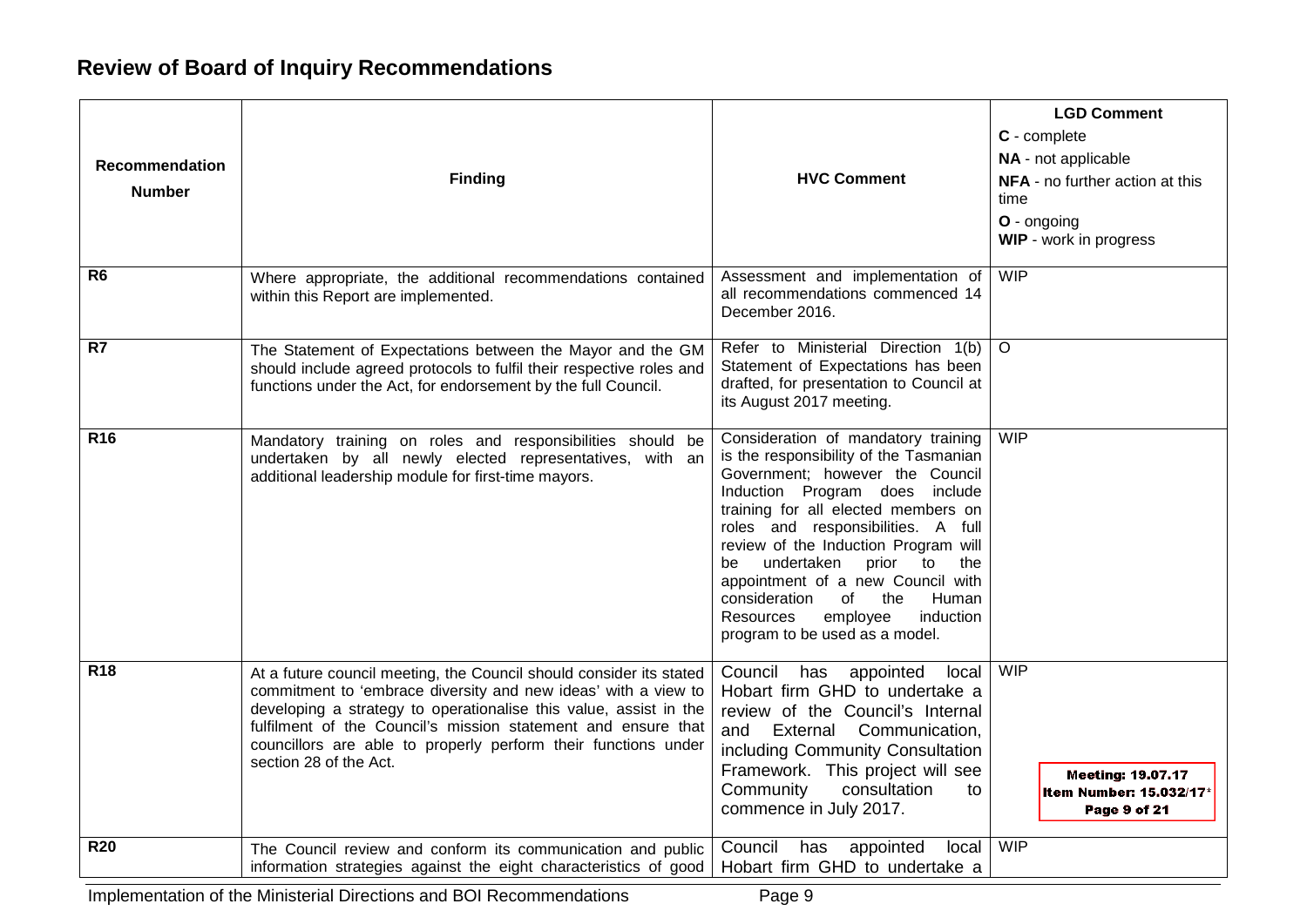## **Review of Board of Inquiry Recommendations**

| <b>Recommendation</b><br><b>Number</b><br>R <sub>6</sub> | <b>Finding</b><br>Where appropriate, the additional recommendations contained<br>within this Report are implemented.                                                                                                                                                                                                                                                    | <b>HVC Comment</b><br>Assessment and implementation of<br>all recommendations commenced 14                                                                                                                                                                                                                                                                                                                                                                                       | <b>LGD Comment</b><br>C - complete<br>NA - not applicable<br>NFA - no further action at this<br>time<br>O - ongoing<br><b>WIP</b> - work in progress<br><b>WIP</b> |
|----------------------------------------------------------|-------------------------------------------------------------------------------------------------------------------------------------------------------------------------------------------------------------------------------------------------------------------------------------------------------------------------------------------------------------------------|----------------------------------------------------------------------------------------------------------------------------------------------------------------------------------------------------------------------------------------------------------------------------------------------------------------------------------------------------------------------------------------------------------------------------------------------------------------------------------|--------------------------------------------------------------------------------------------------------------------------------------------------------------------|
|                                                          |                                                                                                                                                                                                                                                                                                                                                                         | December 2016.                                                                                                                                                                                                                                                                                                                                                                                                                                                                   |                                                                                                                                                                    |
| R7                                                       | The Statement of Expectations between the Mayor and the GM<br>should include agreed protocols to fulfil their respective roles and<br>functions under the Act, for endorsement by the full Council.                                                                                                                                                                     | Refer to Ministerial Direction 1(b)<br>Statement of Expectations has been<br>drafted, for presentation to Council at<br>its August 2017 meeting.                                                                                                                                                                                                                                                                                                                                 | $\circ$                                                                                                                                                            |
| R <sub>16</sub>                                          | Mandatory training on roles and responsibilities should be<br>undertaken by all newly elected representatives, with an<br>additional leadership module for first-time mayors.                                                                                                                                                                                           | Consideration of mandatory training<br>is the responsibility of the Tasmanian<br>Government; however the Council<br>Induction Program does include<br>training for all elected members on<br>roles and responsibilities. A full<br>review of the Induction Program will<br>undertaken<br>prior<br>$\mathsf{to}$<br>the<br>be<br>appointment of a new Council with<br>consideration<br>the<br>Human<br>of<br>employee<br>Resources<br>induction<br>program to be used as a model. | <b>WIP</b>                                                                                                                                                         |
| <b>R18</b>                                               | At a future council meeting, the Council should consider its stated<br>commitment to 'embrace diversity and new ideas' with a view to<br>developing a strategy to operationalise this value, assist in the<br>fulfilment of the Council's mission statement and ensure that<br>councillors are able to properly perform their functions under<br>section 28 of the Act. | Council has<br>local<br>appointed<br>Hobart firm GHD to undertake a<br>review of the Council's Internal<br>External Communication,<br>and<br>including Community Consultation<br>Framework. This project will see<br>Community<br>consultation<br>to<br>commence in July 2017.                                                                                                                                                                                                   | <b>WIP</b><br><b>Meeting: 19.07.17</b><br>Item Number: 15.032/17*<br>Page 9 of 21                                                                                  |
| <b>R20</b>                                               | The Council review and conform its communication and public<br>information strategies against the eight characteristics of good                                                                                                                                                                                                                                         | has<br>local<br>Council<br>appointed<br>Hobart firm GHD to undertake a                                                                                                                                                                                                                                                                                                                                                                                                           | <b>WIP</b>                                                                                                                                                         |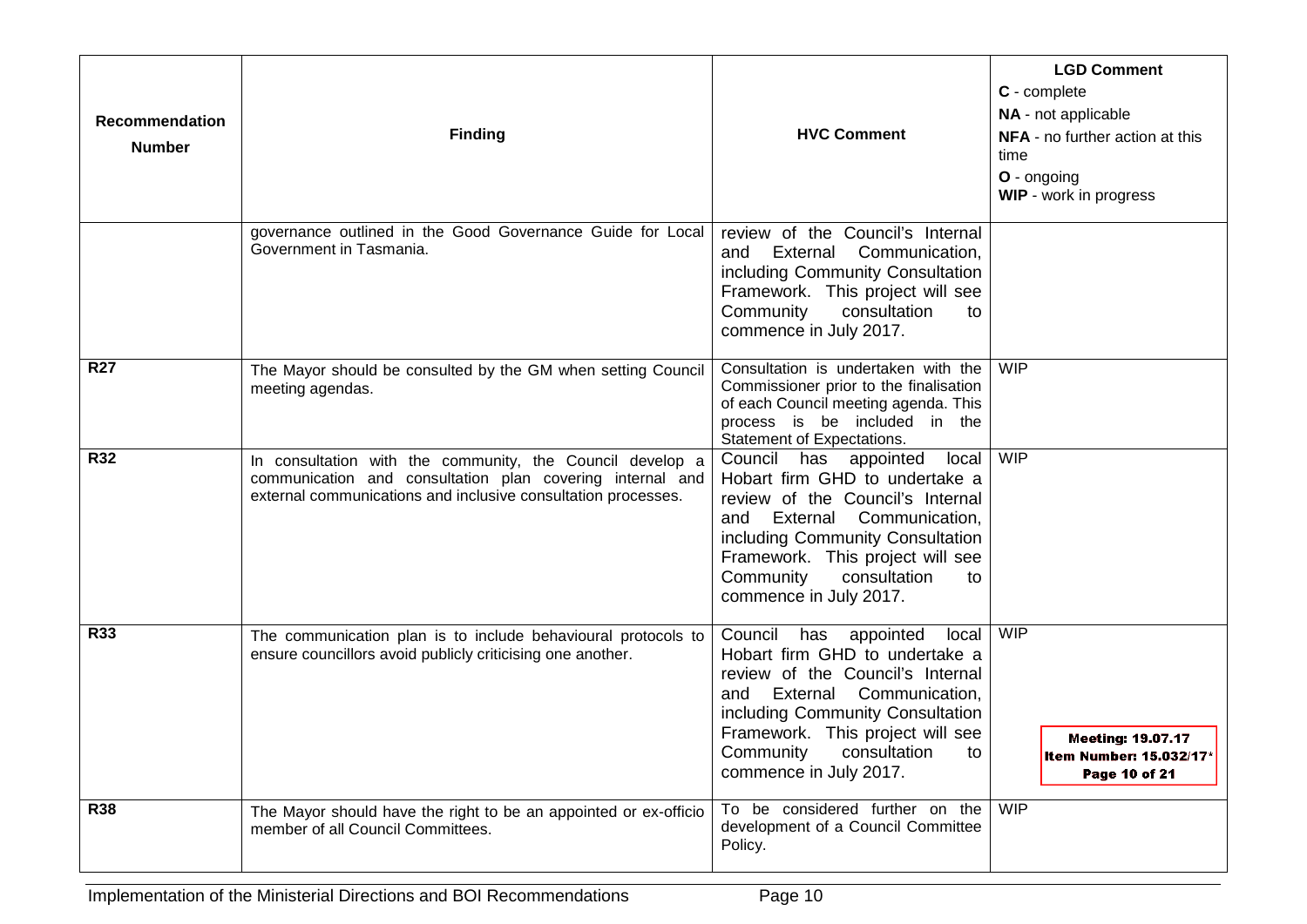| Recommendation<br><b>Number</b> | <b>Finding</b>                                                                                                                                                                          | <b>HVC Comment</b>                                                                                                                                                                                                                                                          | <b>LGD Comment</b><br>C - complete<br>NA - not applicable<br>NFA - no further action at this<br>time<br>O - ongoing<br><b>WIP</b> - work in progress |
|---------------------------------|-----------------------------------------------------------------------------------------------------------------------------------------------------------------------------------------|-----------------------------------------------------------------------------------------------------------------------------------------------------------------------------------------------------------------------------------------------------------------------------|------------------------------------------------------------------------------------------------------------------------------------------------------|
|                                 | governance outlined in the Good Governance Guide for Local<br>Government in Tasmania.                                                                                                   | review of the Council's Internal<br>Communication,<br>External<br>and<br>including Community Consultation<br>Framework. This project will see<br>Community<br>consultation<br>to<br>commence in July 2017.                                                                  |                                                                                                                                                      |
| <b>R27</b>                      | The Mayor should be consulted by the GM when setting Council<br>meeting agendas.                                                                                                        | Consultation is undertaken with the<br>Commissioner prior to the finalisation<br>of each Council meeting agenda. This<br>process is be included in the<br>Statement of Expectations.                                                                                        | <b>WIP</b>                                                                                                                                           |
| <b>R32</b>                      | In consultation with the community, the Council develop a<br>communication and consultation plan covering internal and<br>external communications and inclusive consultation processes. | Council has appointed local<br>Hobart firm GHD to undertake a<br>review of the Council's Internal<br>External<br>Communication,<br>and<br>including Community Consultation<br>Framework. This project will see<br>Community<br>consultation<br>to<br>commence in July 2017. | <b>WIP</b>                                                                                                                                           |
| <b>R33</b>                      | The communication plan is to include behavioural protocols to<br>ensure councillors avoid publicly criticising one another.                                                             | Council has appointed<br>local<br>Hobart firm GHD to undertake a<br>review of the Council's Internal<br>External Communication,<br>and<br>including Community Consultation<br>Framework. This project will see<br>Community<br>consultation<br>to<br>commence in July 2017. | <b>WIP</b><br><b>Meeting: 19.07.17</b><br>Item Number: 15.032/17*<br>Page 10 of 21                                                                   |
| <b>R38</b>                      | The Mayor should have the right to be an appointed or ex-officio<br>member of all Council Committees.                                                                                   | To be considered further on the<br>development of a Council Committee<br>Policy.                                                                                                                                                                                            | <b>WIP</b>                                                                                                                                           |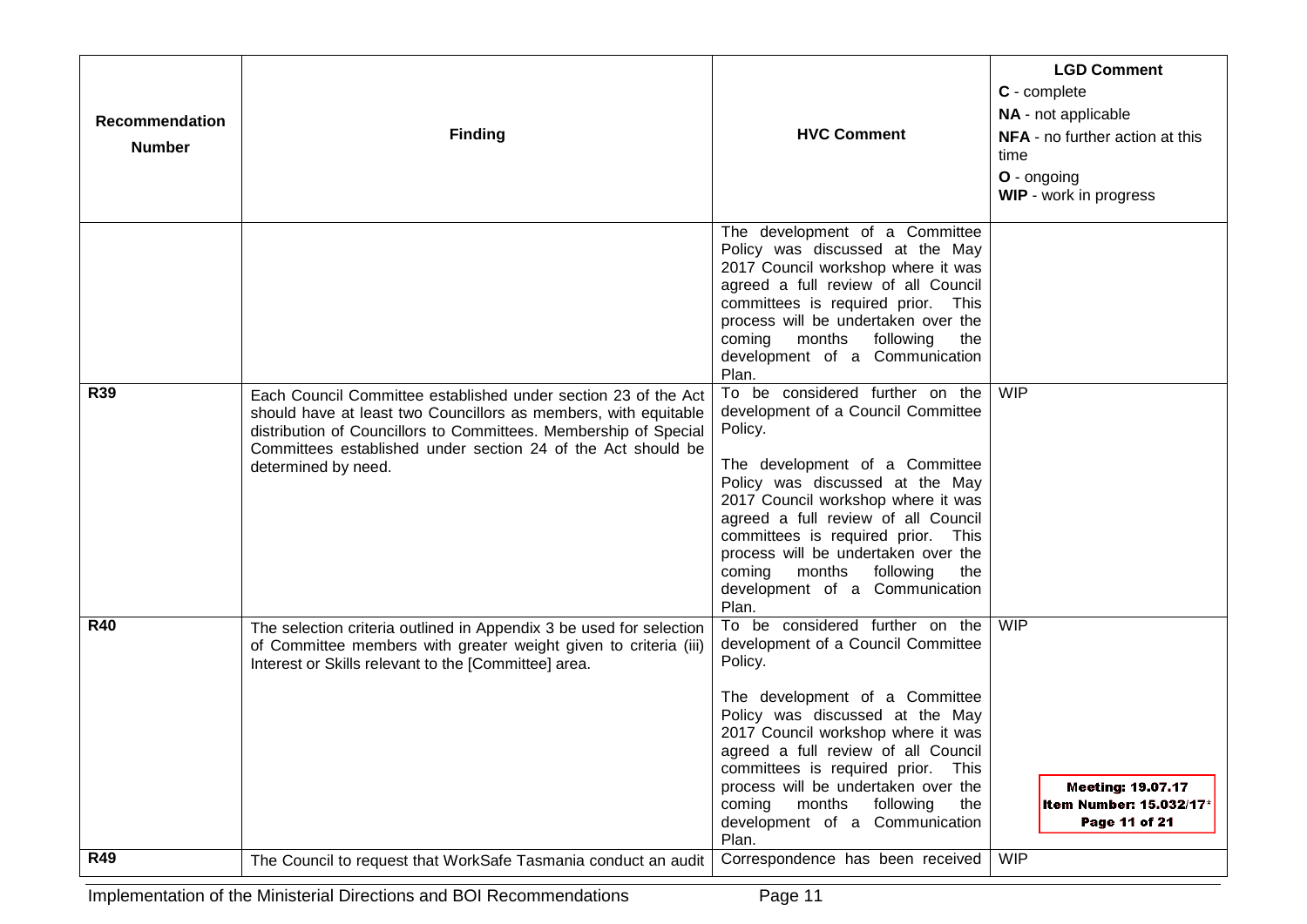| Recommendation<br><b>Number</b> | <b>Finding</b>                                                                                                                                                                                                                                                                               | <b>HVC Comment</b>                                                                                                                                                                                                                                                                                                                                                                                 | <b>LGD Comment</b><br>C - complete<br>NA - not applicable<br><b>NFA</b> - no further action at this<br>time<br>O - ongoing<br><b>WIP</b> - work in progress |
|---------------------------------|----------------------------------------------------------------------------------------------------------------------------------------------------------------------------------------------------------------------------------------------------------------------------------------------|----------------------------------------------------------------------------------------------------------------------------------------------------------------------------------------------------------------------------------------------------------------------------------------------------------------------------------------------------------------------------------------------------|-------------------------------------------------------------------------------------------------------------------------------------------------------------|
|                                 |                                                                                                                                                                                                                                                                                              | The development of a Committee<br>Policy was discussed at the May<br>2017 Council workshop where it was<br>agreed a full review of all Council<br>committees is required prior. This<br>process will be undertaken over the<br>coming months following<br>the<br>development of a Communication<br>Plan.                                                                                           |                                                                                                                                                             |
| <b>R39</b>                      | Each Council Committee established under section 23 of the Act<br>should have at least two Councillors as members, with equitable<br>distribution of Councillors to Committees. Membership of Special<br>Committees established under section 24 of the Act should be<br>determined by need. | To be considered further on the<br>development of a Council Committee<br>Policy.<br>The development of a Committee<br>Policy was discussed at the May<br>2017 Council workshop where it was<br>agreed a full review of all Council<br>committees is required prior. This<br>process will be undertaken over the<br>coming months following the<br>development of a Communication<br>Plan.          | <b>WIP</b>                                                                                                                                                  |
| <b>R40</b>                      | The selection criteria outlined in Appendix 3 be used for selection<br>of Committee members with greater weight given to criteria (iii)<br>Interest or Skills relevant to the [Committee] area.                                                                                              | To be considered further on the<br>development of a Council Committee<br>Policy.<br>The development of a Committee<br>Policy was discussed at the May<br>2017 Council workshop where it was<br>agreed a full review of all Council<br>committees is required prior. This<br>process will be undertaken over the<br>coming<br>months<br>following<br>the<br>development of a Communication<br>Plan. | <b>WIP</b><br><b>Meeting: 19.07.17</b><br>Item Number: 15.032/17*<br>Page 11 of 21                                                                          |
| <b>R49</b>                      | The Council to request that WorkSafe Tasmania conduct an audit                                                                                                                                                                                                                               | Correspondence has been received                                                                                                                                                                                                                                                                                                                                                                   | <b>WIP</b>                                                                                                                                                  |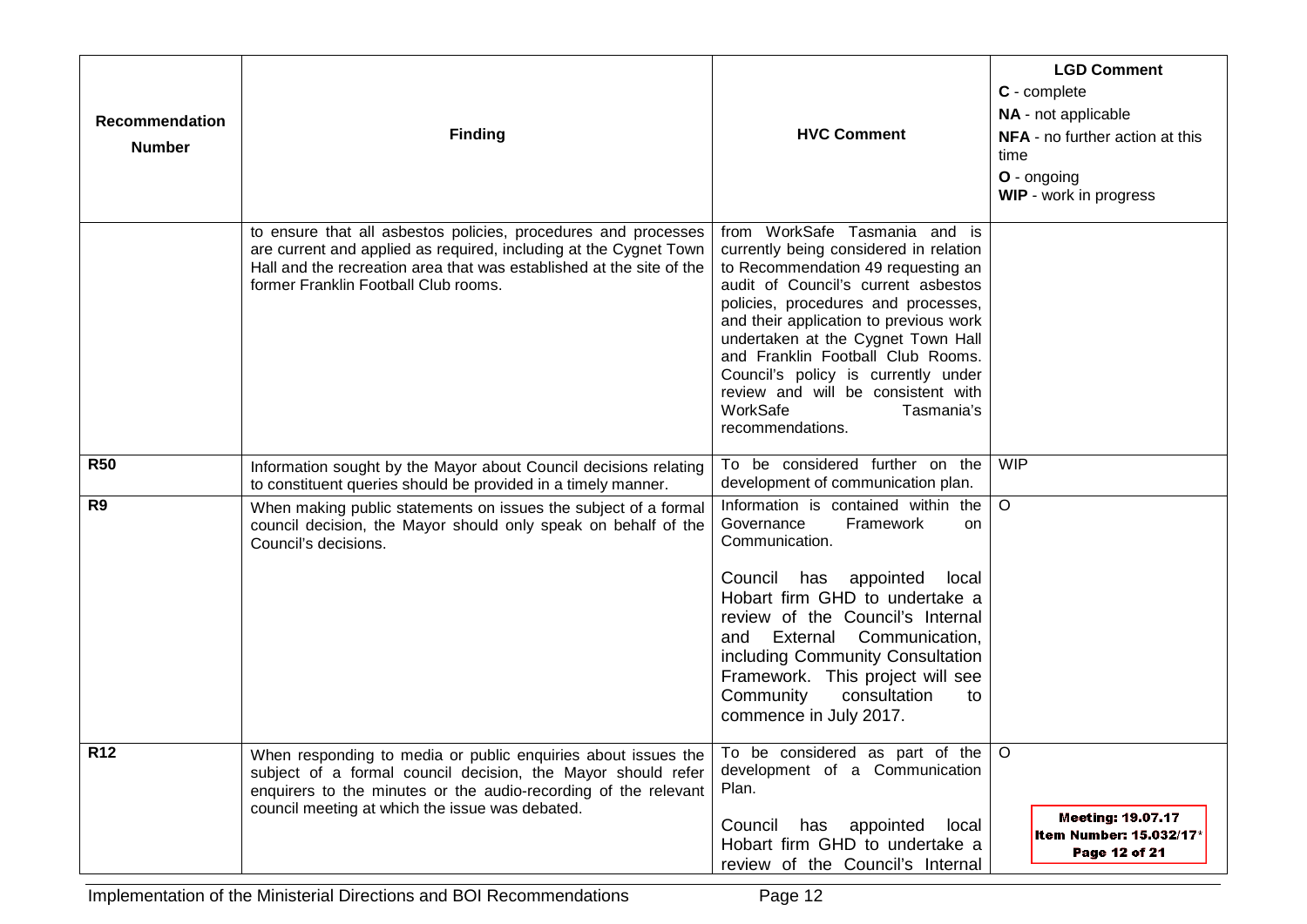| Recommendation<br><b>Number</b> | <b>Finding</b>                                                                                                                                                                                                                                      | <b>HVC Comment</b>                                                                                                                                                                                                                                                                                                                                                                                                                          | <b>LGD Comment</b><br>C - complete<br>NA - not applicable<br>NFA - no further action at this<br>time<br>O - ongoing<br><b>WIP</b> - work in progress |
|---------------------------------|-----------------------------------------------------------------------------------------------------------------------------------------------------------------------------------------------------------------------------------------------------|---------------------------------------------------------------------------------------------------------------------------------------------------------------------------------------------------------------------------------------------------------------------------------------------------------------------------------------------------------------------------------------------------------------------------------------------|------------------------------------------------------------------------------------------------------------------------------------------------------|
|                                 | to ensure that all asbestos policies, procedures and processes<br>are current and applied as required, including at the Cygnet Town<br>Hall and the recreation area that was established at the site of the<br>former Franklin Football Club rooms. | from WorkSafe Tasmania and is<br>currently being considered in relation<br>to Recommendation 49 requesting an<br>audit of Council's current asbestos<br>policies, procedures and processes,<br>and their application to previous work<br>undertaken at the Cygnet Town Hall<br>and Franklin Football Club Rooms.<br>Council's policy is currently under<br>review and will be consistent with<br>WorkSafe<br>Tasmania's<br>recommendations. |                                                                                                                                                      |
| <b>R50</b>                      | Information sought by the Mayor about Council decisions relating<br>to constituent queries should be provided in a timely manner.                                                                                                                   | To be considered further on the<br>development of communication plan.                                                                                                                                                                                                                                                                                                                                                                       | <b>WIP</b>                                                                                                                                           |
| R <sub>9</sub>                  | When making public statements on issues the subject of a formal<br>council decision, the Mayor should only speak on behalf of the<br>Council's decisions.                                                                                           | Information is contained within the<br>Framework<br>Governance<br>on<br>Communication.<br>Council has<br>appointed<br>local<br>Hobart firm GHD to undertake a<br>review of the Council's Internal<br>and External Communication,<br>including Community Consultation<br>Framework. This project will see<br>Community<br>consultation<br>to<br>commence in July 2017.                                                                       | $\circ$                                                                                                                                              |
| R12                             | When responding to media or public enquiries about issues the<br>subject of a formal council decision, the Mayor should refer<br>enquirers to the minutes or the audio-recording of the relevant<br>council meeting at which the issue was debated. | To be considered as part of the $ O $<br>development of a Communication<br>Plan.<br>Council has appointed local<br>Hobart firm GHD to undertake a<br>review of the Council's Internal                                                                                                                                                                                                                                                       | <b>Meeting: 19.07.17</b><br>Item Number: 15.032/17*<br>Page 12 of 21                                                                                 |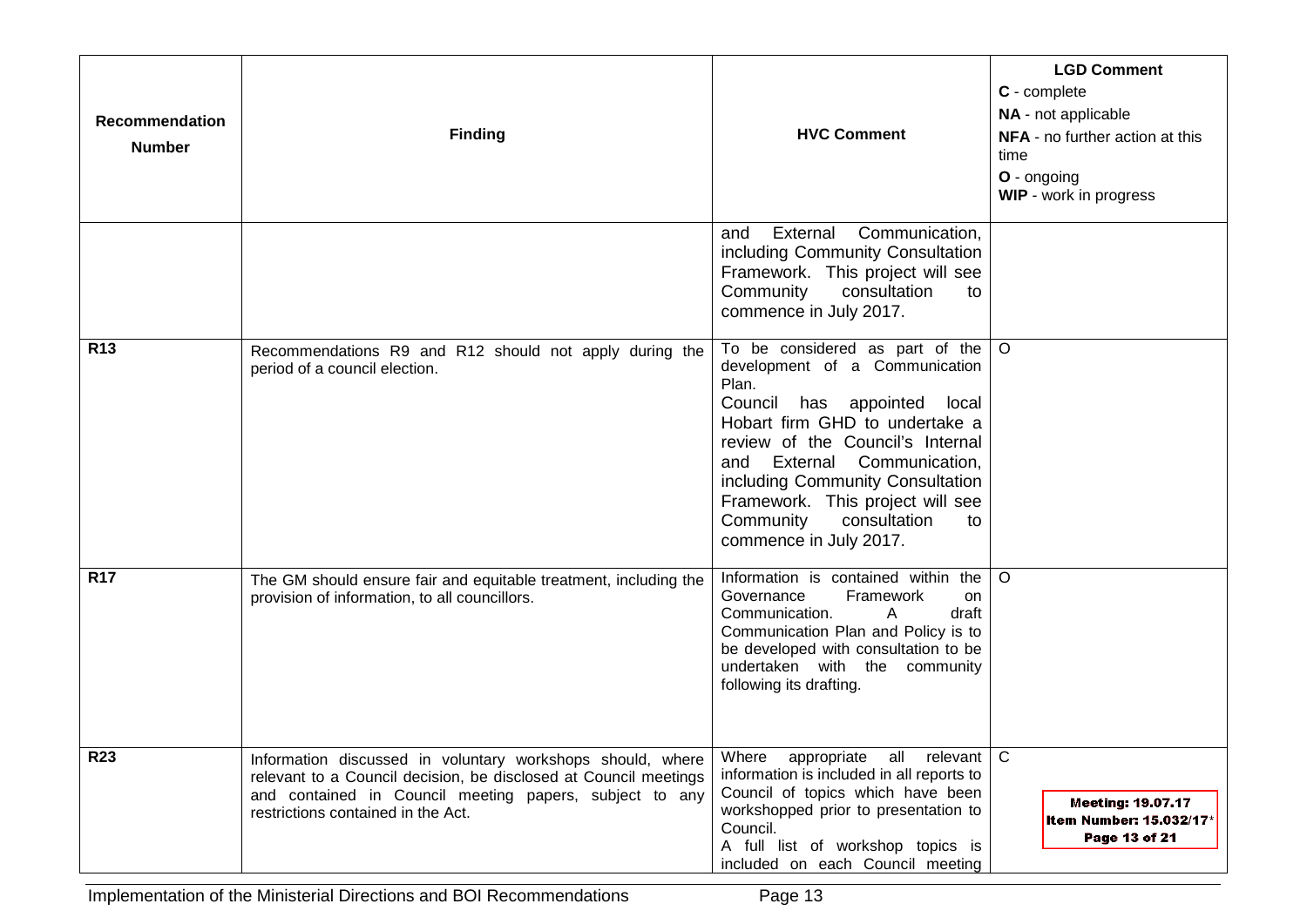| Recommendation<br><b>Number</b> | <b>Finding</b>                                                                                                                                                                                                                  | <b>HVC Comment</b>                                                                                                                                                                                                                                                                                                                                  | <b>LGD Comment</b><br>C - complete<br>NA - not applicable<br>NFA - no further action at this<br>time<br>O - ongoing<br><b>WIP</b> - work in progress |
|---------------------------------|---------------------------------------------------------------------------------------------------------------------------------------------------------------------------------------------------------------------------------|-----------------------------------------------------------------------------------------------------------------------------------------------------------------------------------------------------------------------------------------------------------------------------------------------------------------------------------------------------|------------------------------------------------------------------------------------------------------------------------------------------------------|
|                                 |                                                                                                                                                                                                                                 | External<br>Communication,<br>and<br>including Community Consultation<br>Framework. This project will see<br>Community consultation<br>to<br>commence in July 2017.                                                                                                                                                                                 |                                                                                                                                                      |
| <b>R13</b>                      | Recommendations R9 and R12 should not apply during the<br>period of a council election.                                                                                                                                         | To be considered as part of the<br>development of a Communication<br>Plan.<br>Council has appointed local<br>Hobart firm GHD to undertake a<br>review of the Council's Internal<br>and External Communication,<br>including Community Consultation<br>Framework. This project will see<br>consultation<br>Community<br>to<br>commence in July 2017. | $\circ$                                                                                                                                              |
| <b>R17</b>                      | The GM should ensure fair and equitable treatment, including the<br>provision of information, to all councillors.                                                                                                               | Information is contained within the<br>Framework<br>Governance<br>on<br>Communication.<br>draft<br>$\mathsf{A}$<br>Communication Plan and Policy is to<br>be developed with consultation to be<br>undertaken with the community<br>following its drafting.                                                                                          | $\circ$                                                                                                                                              |
| <b>R23</b>                      | Information discussed in voluntary workshops should, where<br>relevant to a Council decision, be disclosed at Council meetings<br>and contained in Council meeting papers, subject to any<br>restrictions contained in the Act. | Where appropriate all relevant C<br>information is included in all reports to<br>Council of topics which have been<br>workshopped prior to presentation to<br>Council.<br>A full list of workshop topics is<br>included on each Council meeting                                                                                                     | <b>Meeting: 19.07.17</b><br>Item Number: 15.032/17*<br>Page 13 of 21                                                                                 |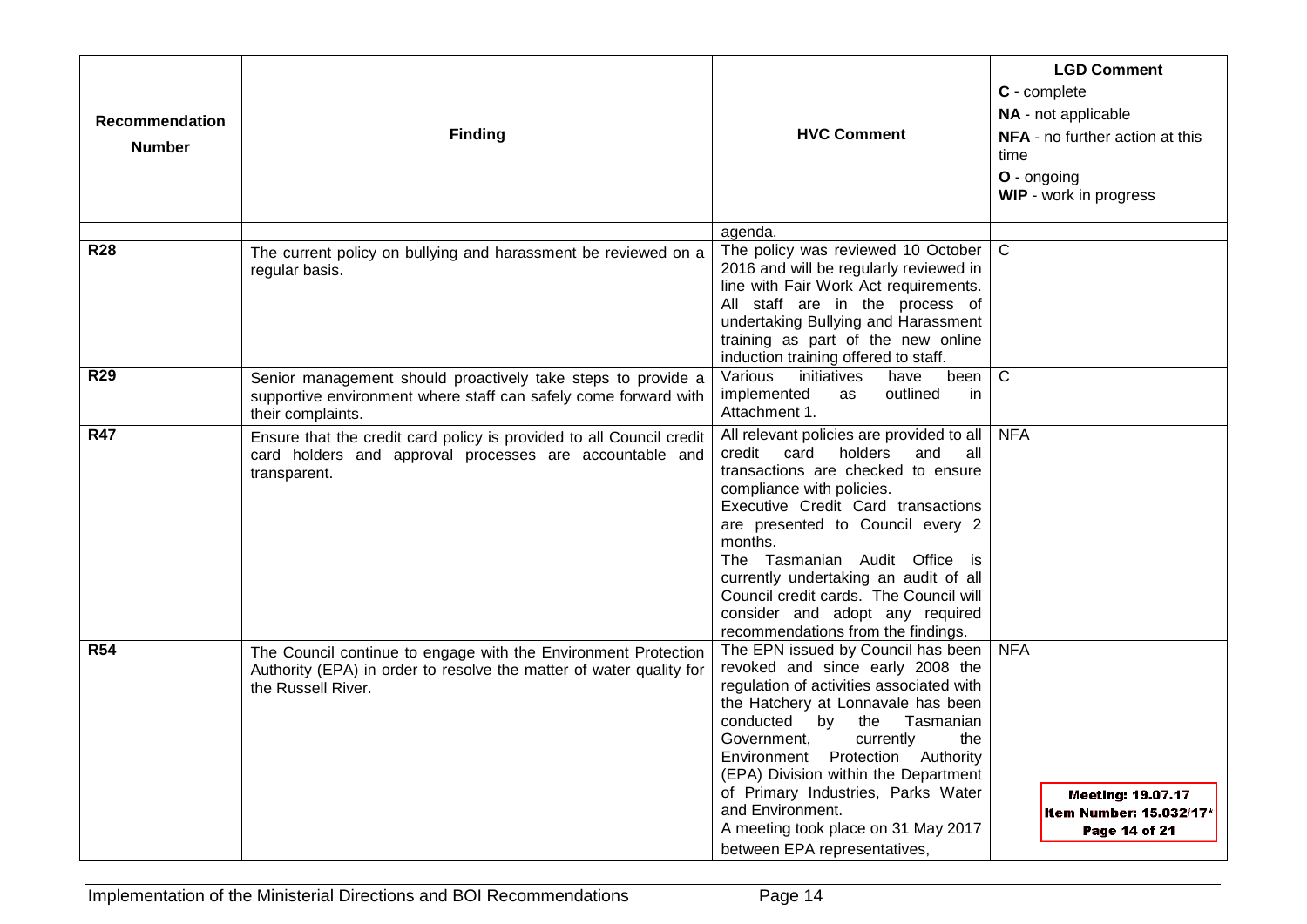| <b>Recommendation</b><br><b>Number</b> | <b>Finding</b>                                                                                                                                              | <b>HVC Comment</b>                                                                                                                                                                                                                                                                                                                                                                                                                           | <b>LGD Comment</b><br>C - complete<br>NA - not applicable<br><b>NFA</b> - no further action at this<br>time<br>O - ongoing<br>WIP - work in progress |
|----------------------------------------|-------------------------------------------------------------------------------------------------------------------------------------------------------------|----------------------------------------------------------------------------------------------------------------------------------------------------------------------------------------------------------------------------------------------------------------------------------------------------------------------------------------------------------------------------------------------------------------------------------------------|------------------------------------------------------------------------------------------------------------------------------------------------------|
|                                        |                                                                                                                                                             | agenda.                                                                                                                                                                                                                                                                                                                                                                                                                                      |                                                                                                                                                      |
| <b>R28</b>                             | The current policy on bullying and harassment be reviewed on a<br>regular basis.                                                                            | The policy was reviewed 10 October<br>2016 and will be regularly reviewed in<br>line with Fair Work Act requirements.<br>All staff are in the process of<br>undertaking Bullying and Harassment<br>training as part of the new online<br>induction training offered to staff.                                                                                                                                                                | $\mathsf{C}$                                                                                                                                         |
| <b>R29</b>                             | Senior management should proactively take steps to provide a<br>supportive environment where staff can safely come forward with<br>their complaints.        | Various<br>initiatives<br>have<br>been l<br>implemented<br>outlined<br>as<br>-in<br>Attachment 1.                                                                                                                                                                                                                                                                                                                                            | $\overline{C}$                                                                                                                                       |
| <b>R47</b>                             | Ensure that the credit card policy is provided to all Council credit<br>card holders and approval processes are accountable and<br>transparent.             | All relevant policies are provided to all<br>card<br>holders<br>credit<br>and<br>all<br>transactions are checked to ensure<br>compliance with policies.<br>Executive Credit Card transactions<br>are presented to Council every 2<br>months.<br>The Tasmanian Audit Office is<br>currently undertaking an audit of all<br>Council credit cards. The Council will<br>consider and adopt any required<br>recommendations from the findings.    | <b>NFA</b>                                                                                                                                           |
| <b>R54</b>                             | The Council continue to engage with the Environment Protection<br>Authority (EPA) in order to resolve the matter of water quality for<br>the Russell River. | The EPN issued by Council has been<br>revoked and since early 2008 the<br>regulation of activities associated with<br>the Hatchery at Lonnavale has been<br>conducted by<br>the<br>Tasmanian<br>currently<br>Government.<br>the<br>Environment Protection Authority<br>(EPA) Division within the Department<br>of Primary Industries, Parks Water<br>and Environment.<br>A meeting took place on 31 May 2017<br>between EPA representatives, | <b>NFA</b><br><b>Meeting: 19.07.17</b><br>Item Number: 15.032/17*<br>Page 14 of 21                                                                   |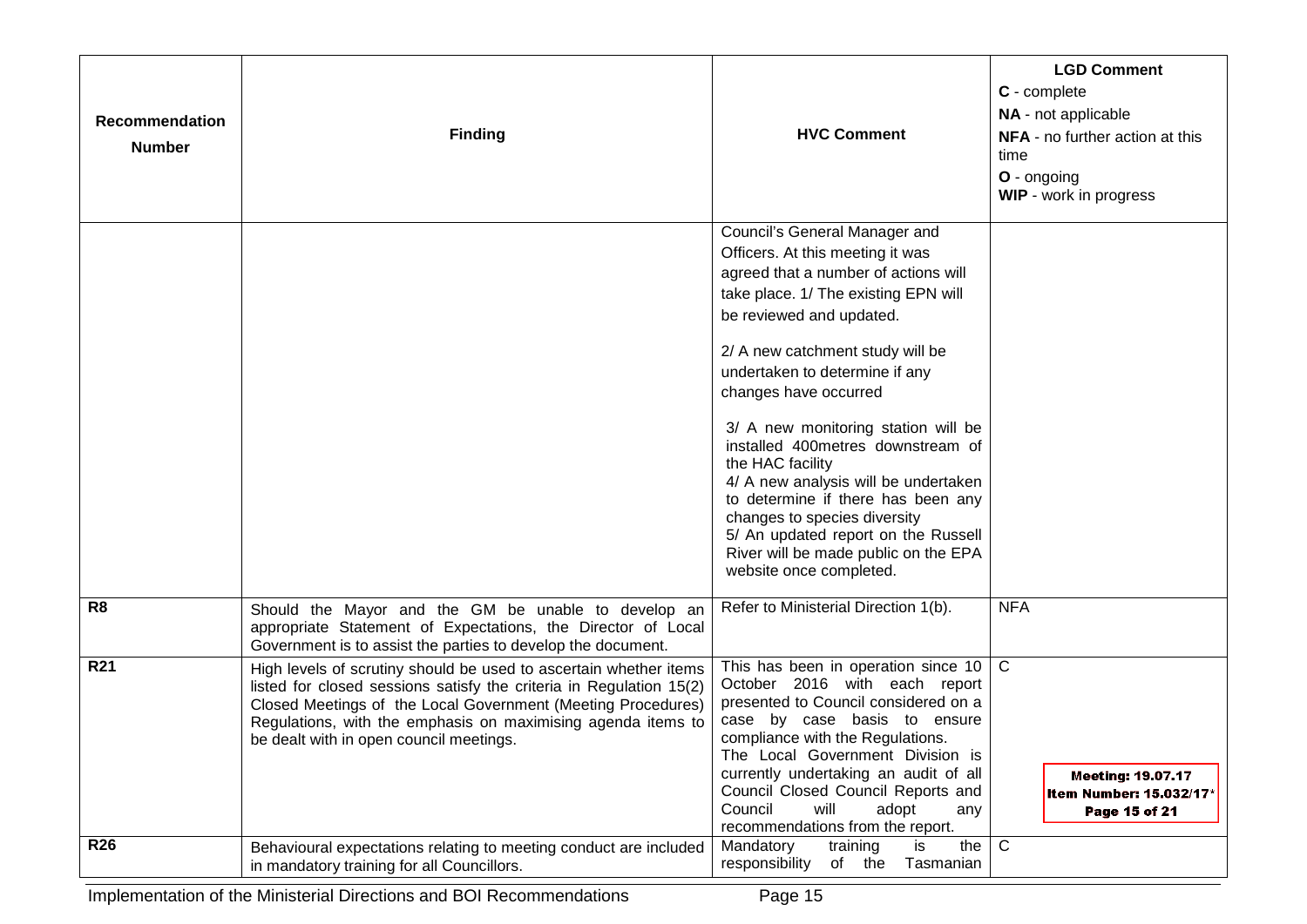| Recommendation<br><b>Number</b> | <b>Finding</b>                                                                                                                                                                                                                                                                                                      | <b>HVC Comment</b>                                                                                                                                                                                                                                                                                                                                                                                                                                                                                                                                                                                   | <b>LGD Comment</b><br>C - complete<br>NA - not applicable<br><b>NFA</b> - no further action at this<br>time<br>O - ongoing<br>WIP - work in progress |
|---------------------------------|---------------------------------------------------------------------------------------------------------------------------------------------------------------------------------------------------------------------------------------------------------------------------------------------------------------------|------------------------------------------------------------------------------------------------------------------------------------------------------------------------------------------------------------------------------------------------------------------------------------------------------------------------------------------------------------------------------------------------------------------------------------------------------------------------------------------------------------------------------------------------------------------------------------------------------|------------------------------------------------------------------------------------------------------------------------------------------------------|
|                                 |                                                                                                                                                                                                                                                                                                                     | Council's General Manager and<br>Officers. At this meeting it was<br>agreed that a number of actions will<br>take place. 1/ The existing EPN will<br>be reviewed and updated.<br>2/ A new catchment study will be<br>undertaken to determine if any<br>changes have occurred<br>3/ A new monitoring station will be<br>installed 400metres downstream of<br>the HAC facility<br>4/ A new analysis will be undertaken<br>to determine if there has been any<br>changes to species diversity<br>5/ An updated report on the Russell<br>River will be made public on the EPA<br>website once completed. |                                                                                                                                                      |
| R <sub>8</sub>                  | Should the Mayor and the GM be unable to develop an<br>appropriate Statement of Expectations, the Director of Local<br>Government is to assist the parties to develop the document.                                                                                                                                 | Refer to Ministerial Direction 1(b).                                                                                                                                                                                                                                                                                                                                                                                                                                                                                                                                                                 | <b>NFA</b>                                                                                                                                           |
| <b>R21</b>                      | High levels of scrutiny should be used to ascertain whether items<br>listed for closed sessions satisfy the criteria in Regulation 15(2)<br>Closed Meetings of the Local Government (Meeting Procedures)<br>Regulations, with the emphasis on maximising agenda items to<br>be dealt with in open council meetings. | This has been in operation since 10<br>October 2016 with each report<br>presented to Council considered on a<br>case by case basis to ensure<br>compliance with the Regulations.<br>The Local Government Division is<br>currently undertaking an audit of all<br>Council Closed Council Reports and<br>Council<br>will<br>adopt<br>any<br>recommendations from the report.                                                                                                                                                                                                                           | $\mathsf{C}$<br><b>Meeting: 19.07.17</b><br>Item Number: 15.032/17*<br>Page 15 of 21                                                                 |
| <b>R26</b>                      | Behavioural expectations relating to meeting conduct are included<br>in mandatory training for all Councillors.                                                                                                                                                                                                     | Mandatory<br>the<br>training<br>is<br>responsibility<br>of the Tasmanian                                                                                                                                                                                                                                                                                                                                                                                                                                                                                                                             | $\mathsf{C}$                                                                                                                                         |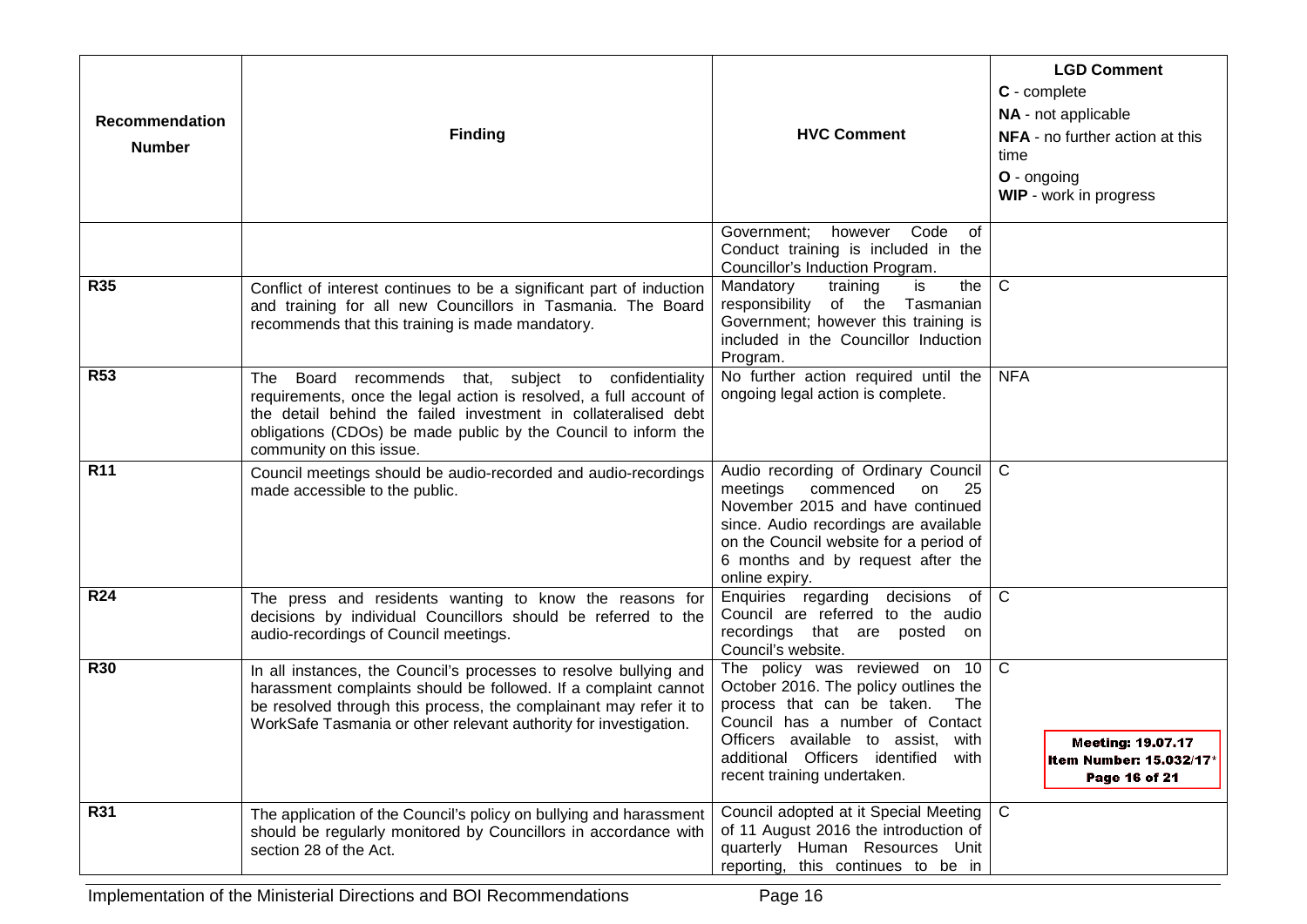| Recommendation<br><b>Number</b> | <b>Finding</b>                                                                                                                                                                                                                                                                                 | <b>HVC Comment</b>                                                                                                                                                                                                                                            | <b>LGD Comment</b><br>C - complete<br>NA - not applicable<br>NFA - no further action at this<br>time<br>O - ongoing<br>WIP - work in progress |
|---------------------------------|------------------------------------------------------------------------------------------------------------------------------------------------------------------------------------------------------------------------------------------------------------------------------------------------|---------------------------------------------------------------------------------------------------------------------------------------------------------------------------------------------------------------------------------------------------------------|-----------------------------------------------------------------------------------------------------------------------------------------------|
|                                 |                                                                                                                                                                                                                                                                                                | Government; however Code<br>of<br>Conduct training is included in the<br>Councillor's Induction Program.                                                                                                                                                      |                                                                                                                                               |
| <b>R35</b>                      | Conflict of interest continues to be a significant part of induction<br>and training for all new Councillors in Tasmania. The Board<br>recommends that this training is made mandatory.                                                                                                        | the<br>Mandatory<br>is<br>training<br>responsibility of the Tasmanian<br>Government; however this training is<br>included in the Councillor Induction<br>Program.                                                                                             | C                                                                                                                                             |
| <b>R53</b>                      | Board recommends that, subject to confidentiality<br>The<br>requirements, once the legal action is resolved, a full account of<br>the detail behind the failed investment in collateralised debt<br>obligations (CDOs) be made public by the Council to inform the<br>community on this issue. | No further action required until the<br>ongoing legal action is complete.                                                                                                                                                                                     | <b>NFA</b>                                                                                                                                    |
| R <sub>11</sub>                 | Council meetings should be audio-recorded and audio-recordings<br>made accessible to the public.                                                                                                                                                                                               | Audio recording of Ordinary Council<br>meetings<br>commenced<br>on<br>25<br>November 2015 and have continued<br>since. Audio recordings are available<br>on the Council website for a period of<br>6 months and by request after the<br>online expiry.        | C                                                                                                                                             |
| <b>R24</b>                      | The press and residents wanting to know the reasons for<br>decisions by individual Councillors should be referred to the<br>audio-recordings of Council meetings.                                                                                                                              | Enquiries regarding decisions of<br>Council are referred to the audio<br>recordings that are posted on<br>Council's website.                                                                                                                                  | $\mathsf{C}$                                                                                                                                  |
| <b>R30</b>                      | In all instances, the Council's processes to resolve bullying and<br>harassment complaints should be followed. If a complaint cannot<br>be resolved through this process, the complainant may refer it to<br>WorkSafe Tasmania or other relevant authority for investigation.                  | The policy was reviewed on 10<br>October 2016. The policy outlines the<br>process that can be taken.<br>The<br>Council has a number of Contact<br>Officers available to assist, with<br>additional Officers identified<br>with<br>recent training undertaken. | $\mathsf{C}$<br><b>Meeting: 19.07.17</b><br>Item Number: 15.032/17*<br>Page 16 of 21                                                          |
| R31                             | The application of the Council's policy on bullying and harassment<br>should be regularly monitored by Councillors in accordance with<br>section 28 of the Act.                                                                                                                                | Council adopted at it Special Meeting<br>of 11 August 2016 the introduction of<br>quarterly Human Resources Unit<br>reporting, this continues to be in                                                                                                        | $\mathsf{C}$                                                                                                                                  |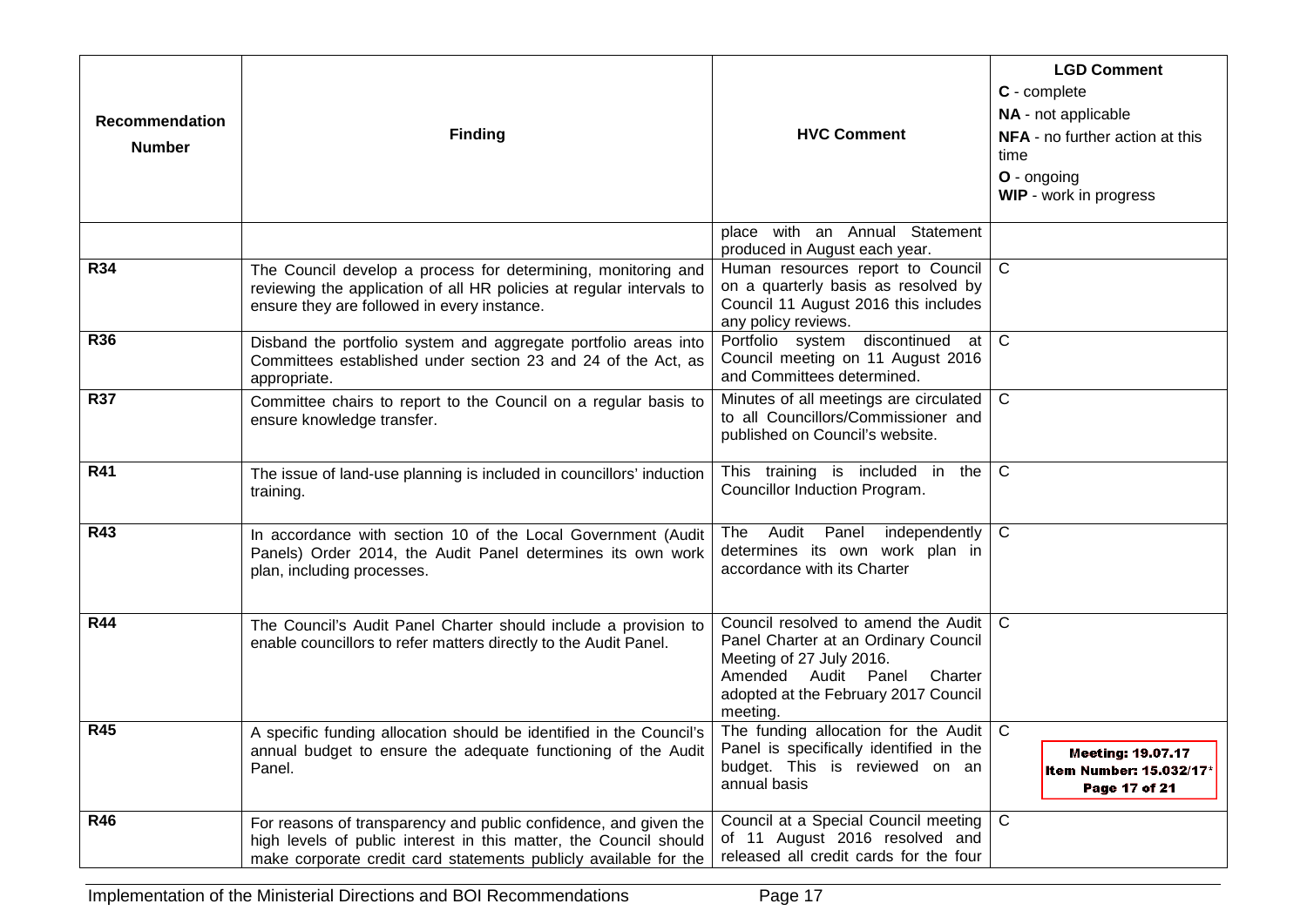| Recommendation<br><b>Number</b> | <b>Finding</b>                                                                                                                                                                                            | <b>HVC Comment</b>                                                                                                                                                                            | <b>LGD Comment</b><br>C - complete<br>NA - not applicable<br>NFA - no further action at this<br>time<br>O - ongoing<br>WIP - work in progress |
|---------------------------------|-----------------------------------------------------------------------------------------------------------------------------------------------------------------------------------------------------------|-----------------------------------------------------------------------------------------------------------------------------------------------------------------------------------------------|-----------------------------------------------------------------------------------------------------------------------------------------------|
|                                 |                                                                                                                                                                                                           | place with an Annual Statement<br>produced in August each year.                                                                                                                               |                                                                                                                                               |
| <b>R34</b>                      | The Council develop a process for determining, monitoring and<br>reviewing the application of all HR policies at regular intervals to<br>ensure they are followed in every instance.                      | Human resources report to Council<br>on a quarterly basis as resolved by<br>Council 11 August 2016 this includes<br>any policy reviews.                                                       | $\mathsf{C}$                                                                                                                                  |
| <b>R36</b>                      | Disband the portfolio system and aggregate portfolio areas into<br>Committees established under section 23 and 24 of the Act, as<br>appropriate.                                                          | Portfolio system discontinued<br>at<br>Council meeting on 11 August 2016<br>and Committees determined.                                                                                        | $\mathsf{C}$                                                                                                                                  |
| <b>R37</b>                      | Committee chairs to report to the Council on a regular basis to<br>ensure knowledge transfer.                                                                                                             | Minutes of all meetings are circulated<br>to all Councillors/Commissioner and<br>published on Council's website.                                                                              | $\mathsf{C}$                                                                                                                                  |
| <b>R41</b>                      | The issue of land-use planning is included in councillors' induction<br>training.                                                                                                                         | This training is included in the<br>Councillor Induction Program.                                                                                                                             | $\mathsf{C}$                                                                                                                                  |
| <b>R43</b>                      | In accordance with section 10 of the Local Government (Audit<br>Panels) Order 2014, the Audit Panel determines its own work<br>plan, including processes.                                                 | The Audit Panel independently<br>determines its own work plan in<br>accordance with its Charter                                                                                               | $\mathsf{C}$                                                                                                                                  |
| <b>R44</b>                      | The Council's Audit Panel Charter should include a provision to<br>enable councillors to refer matters directly to the Audit Panel.                                                                       | Council resolved to amend the Audit<br>Panel Charter at an Ordinary Council<br>Meeting of 27 July 2016.<br>Amended Audit Panel<br>Charter<br>adopted at the February 2017 Council<br>meeting. | $\mathsf{C}$                                                                                                                                  |
| <b>R45</b>                      | A specific funding allocation should be identified in the Council's<br>annual budget to ensure the adequate functioning of the Audit<br>Panel.                                                            | The funding allocation for the Audit<br>Panel is specifically identified in the<br>budget. This is reviewed on an<br>annual basis                                                             | $\mathsf{C}$<br>Meeting: 19.07.17<br>Item Number: 15.032/17*<br>Page 17 of 21                                                                 |
| <b>R46</b>                      | For reasons of transparency and public confidence, and given the<br>high levels of public interest in this matter, the Council should<br>make corporate credit card statements publicly available for the | Council at a Special Council meeting<br>of 11 August 2016 resolved and<br>released all credit cards for the four                                                                              | $\mathsf{C}$                                                                                                                                  |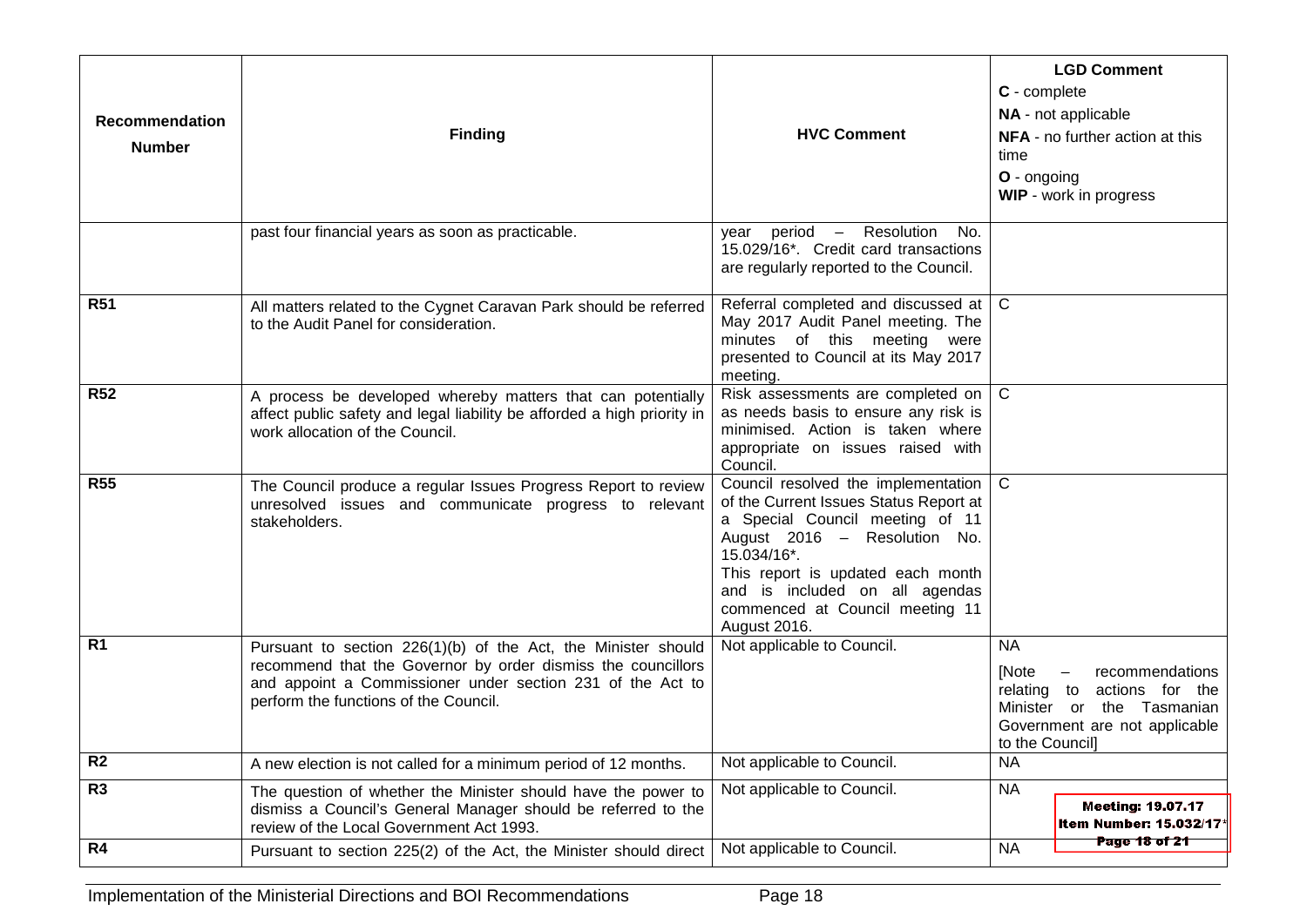| Recommendation<br><b>Number</b> | <b>Finding</b>                                                                                                                                                                                                                       | <b>HVC Comment</b>                                                                                                                                                                                                                                                                            | <b>LGD Comment</b><br>C - complete<br>NA - not applicable<br>NFA - no further action at this<br>time<br>O - ongoing<br>WIP - work in progress            |
|---------------------------------|--------------------------------------------------------------------------------------------------------------------------------------------------------------------------------------------------------------------------------------|-----------------------------------------------------------------------------------------------------------------------------------------------------------------------------------------------------------------------------------------------------------------------------------------------|----------------------------------------------------------------------------------------------------------------------------------------------------------|
|                                 | past four financial years as soon as practicable.                                                                                                                                                                                    | period - Resolution No.<br>vear<br>15.029/16*. Credit card transactions<br>are regularly reported to the Council.                                                                                                                                                                             |                                                                                                                                                          |
| <b>R51</b>                      | All matters related to the Cygnet Caravan Park should be referred<br>to the Audit Panel for consideration.                                                                                                                           | Referral completed and discussed at   C<br>May 2017 Audit Panel meeting. The<br>minutes of this meeting were<br>presented to Council at its May 2017<br>meeting.                                                                                                                              |                                                                                                                                                          |
| <b>R52</b>                      | A process be developed whereby matters that can potentially<br>affect public safety and legal liability be afforded a high priority in<br>work allocation of the Council.                                                            | Risk assessments are completed on $\mid$ C<br>as needs basis to ensure any risk is<br>minimised. Action is taken where<br>appropriate on issues raised with<br>Council.                                                                                                                       |                                                                                                                                                          |
| <b>R55</b>                      | The Council produce a regular Issues Progress Report to review<br>unresolved issues and communicate progress to relevant<br>stakeholders.                                                                                            | Council resolved the implementation   C<br>of the Current Issues Status Report at<br>a Special Council meeting of 11<br>August 2016 - Resolution No.<br>15.034/16*.<br>This report is updated each month<br>and is included on all agendas<br>commenced at Council meeting 11<br>August 2016. |                                                                                                                                                          |
| R <sub>1</sub>                  | Pursuant to section 226(1)(b) of the Act, the Minister should<br>recommend that the Governor by order dismiss the councillors<br>and appoint a Commissioner under section 231 of the Act to<br>perform the functions of the Council. | Not applicable to Council.                                                                                                                                                                                                                                                                    | <b>NA</b><br>[Note<br>recommendations<br>relating to<br>actions for the<br>Minister or the Tasmanian<br>Government are not applicable<br>to the Council] |
| R <sub>2</sub>                  | A new election is not called for a minimum period of 12 months.                                                                                                                                                                      | Not applicable to Council.                                                                                                                                                                                                                                                                    | <b>NA</b>                                                                                                                                                |
| R <sub>3</sub>                  | The question of whether the Minister should have the power to<br>dismiss a Council's General Manager should be referred to the<br>review of the Local Government Act 1993.                                                           | Not applicable to Council.                                                                                                                                                                                                                                                                    | <b>NA</b><br><b>Meeting: 19.07.17</b><br>Item Number: 15.032/17*                                                                                         |
| R4                              | Pursuant to section 225(2) of the Act, the Minister should direct                                                                                                                                                                    | Not applicable to Council.                                                                                                                                                                                                                                                                    | <b>Page 18 of 21</b><br><b>NA</b>                                                                                                                        |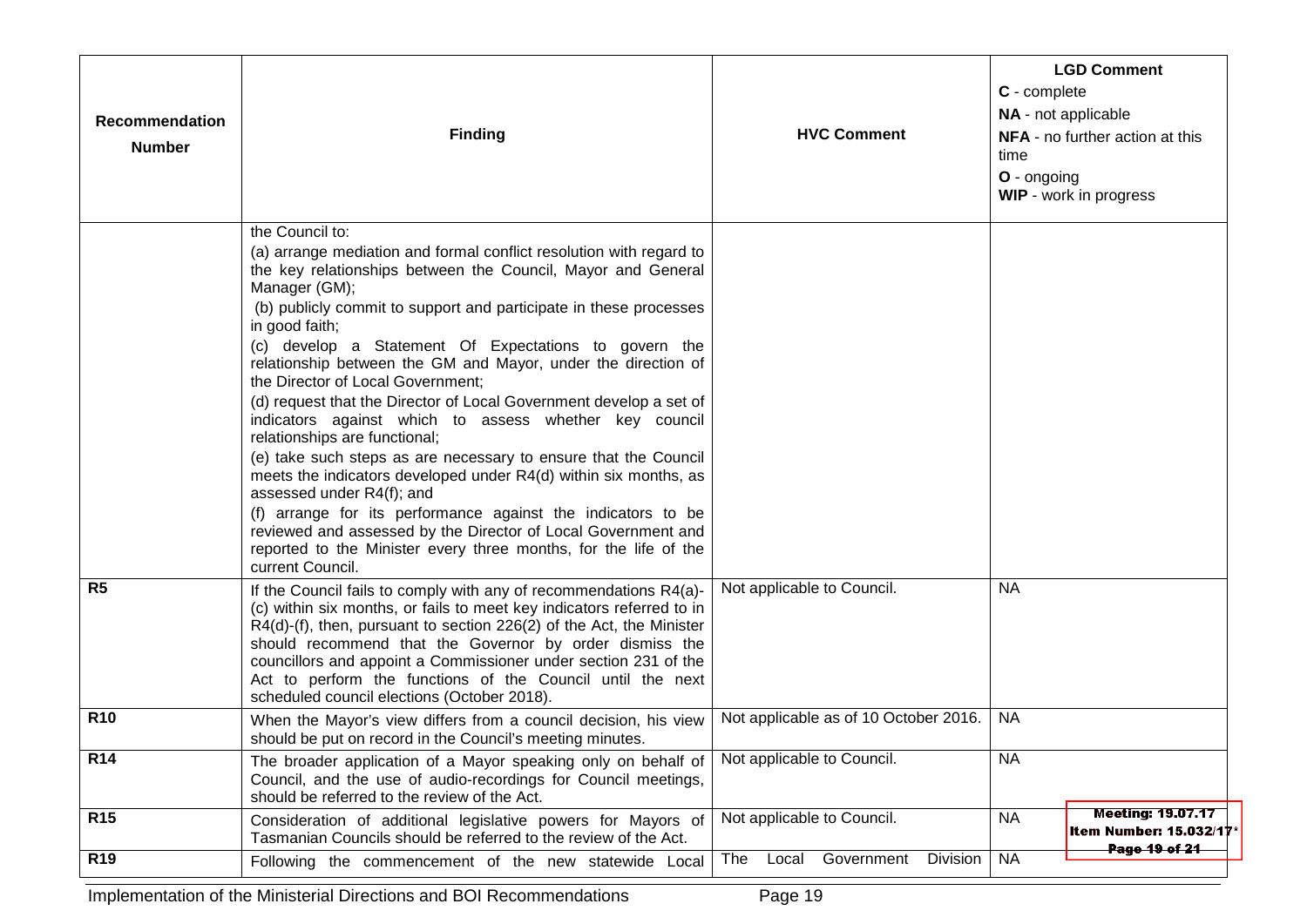| Recommendation<br><b>Number</b> | <b>Finding</b>                                                                                                                                                                                                                                                                                                                                                                                                                                                                                                                                                                                                                                                                                                                                                                                                                                                                                                                                                                              | <b>HVC Comment</b>                          | <b>LGD Comment</b><br>C - complete<br>NA - not applicable<br><b>NFA</b> - no further action at this<br>time<br>$O$ - ongoing<br><b>WIP</b> - work in progress |
|---------------------------------|---------------------------------------------------------------------------------------------------------------------------------------------------------------------------------------------------------------------------------------------------------------------------------------------------------------------------------------------------------------------------------------------------------------------------------------------------------------------------------------------------------------------------------------------------------------------------------------------------------------------------------------------------------------------------------------------------------------------------------------------------------------------------------------------------------------------------------------------------------------------------------------------------------------------------------------------------------------------------------------------|---------------------------------------------|---------------------------------------------------------------------------------------------------------------------------------------------------------------|
|                                 | the Council to:<br>(a) arrange mediation and formal conflict resolution with regard to<br>the key relationships between the Council, Mayor and General<br>Manager (GM);<br>(b) publicly commit to support and participate in these processes<br>in good faith;<br>(c) develop a Statement Of Expectations to govern the<br>relationship between the GM and Mayor, under the direction of<br>the Director of Local Government;<br>(d) request that the Director of Local Government develop a set of<br>indicators against which to assess whether key council<br>relationships are functional;<br>(e) take such steps as are necessary to ensure that the Council<br>meets the indicators developed under R4(d) within six months, as<br>assessed under R4(f); and<br>(f) arrange for its performance against the indicators to be<br>reviewed and assessed by the Director of Local Government and<br>reported to the Minister every three months, for the life of the<br>current Council. |                                             |                                                                                                                                                               |
| R <sub>5</sub>                  | If the Council fails to comply with any of recommendations R4(a)-<br>(c) within six months, or fails to meet key indicators referred to in<br>R4(d)-(f), then, pursuant to section 226(2) of the Act, the Minister<br>should recommend that the Governor by order dismiss the<br>councillors and appoint a Commissioner under section 231 of the<br>Act to perform the functions of the Council until the next<br>scheduled council elections (October 2018).                                                                                                                                                                                                                                                                                                                                                                                                                                                                                                                               | Not applicable to Council.                  | <b>NA</b>                                                                                                                                                     |
| <b>R10</b>                      | When the Mayor's view differs from a council decision, his view<br>should be put on record in the Council's meeting minutes.                                                                                                                                                                                                                                                                                                                                                                                                                                                                                                                                                                                                                                                                                                                                                                                                                                                                | Not applicable as of 10 October 2016.       | <b>NA</b>                                                                                                                                                     |
| <b>R14</b>                      | The broader application of a Mayor speaking only on behalf of<br>Council, and the use of audio-recordings for Council meetings,<br>should be referred to the review of the Act.                                                                                                                                                                                                                                                                                                                                                                                                                                                                                                                                                                                                                                                                                                                                                                                                             | Not applicable to Council.                  | <b>NA</b>                                                                                                                                                     |
| <b>R15</b>                      | Consideration of additional legislative powers for Mayors of<br>Tasmanian Councils should be referred to the review of the Act.                                                                                                                                                                                                                                                                                                                                                                                                                                                                                                                                                                                                                                                                                                                                                                                                                                                             | Not applicable to Council.                  | <b>Meeting: 19.07.17</b><br><b>NA</b><br><b>Item Number: 15.032/17</b><br>Page 19 of 21                                                                       |
| <b>R19</b>                      | Following the commencement of the new statewide Local                                                                                                                                                                                                                                                                                                                                                                                                                                                                                                                                                                                                                                                                                                                                                                                                                                                                                                                                       | Government<br>Division   NA<br>The<br>Local |                                                                                                                                                               |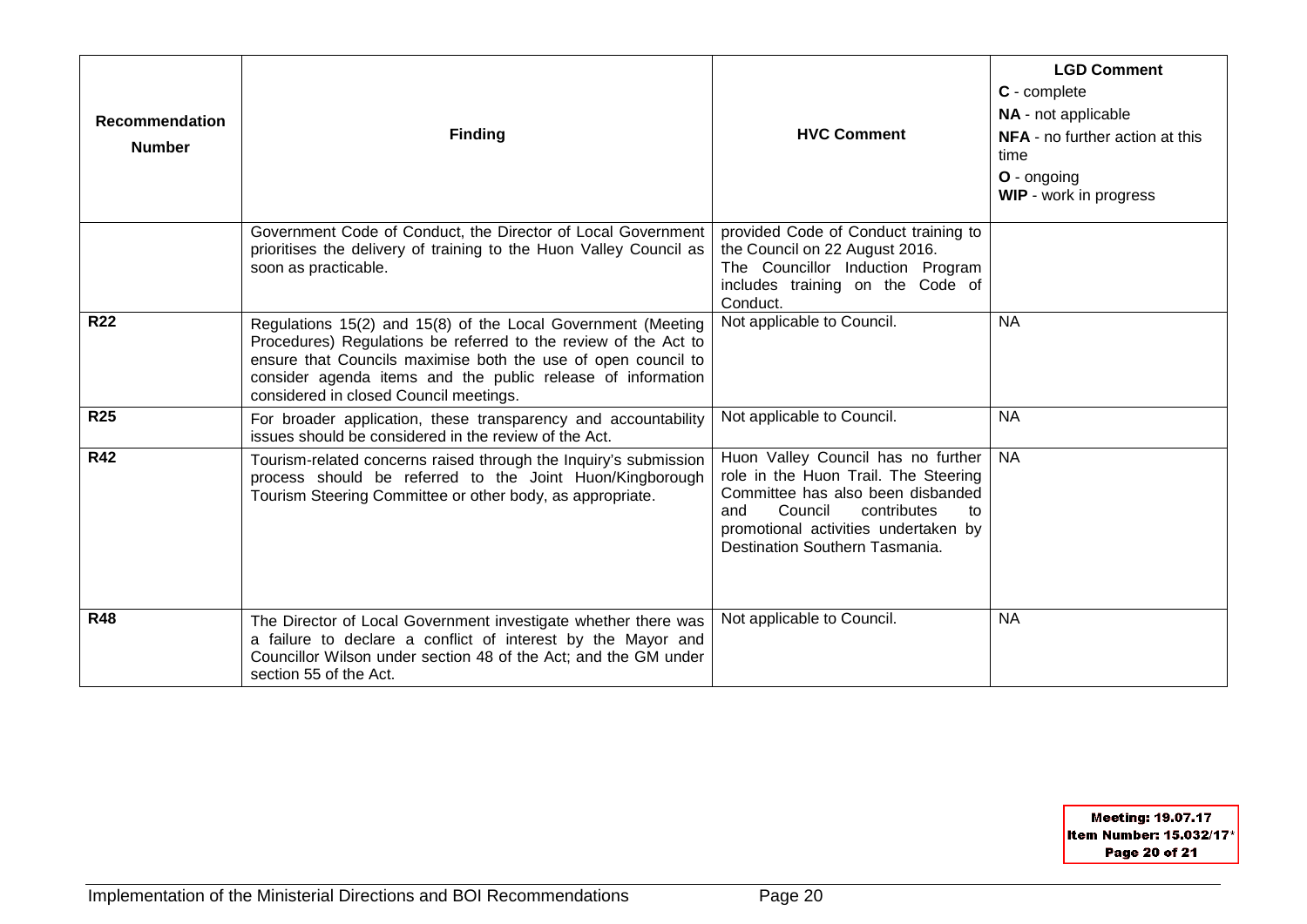| <b>Recommendation</b><br><b>Number</b> | <b>Finding</b>                                                                                                                                                                                                                                                                                            | <b>HVC Comment</b>                                                                                                                                                                                                               | <b>LGD Comment</b><br>C - complete<br>NA - not applicable<br><b>NFA</b> - no further action at this<br>time<br>O - ongoing<br>WIP - work in progress |
|----------------------------------------|-----------------------------------------------------------------------------------------------------------------------------------------------------------------------------------------------------------------------------------------------------------------------------------------------------------|----------------------------------------------------------------------------------------------------------------------------------------------------------------------------------------------------------------------------------|------------------------------------------------------------------------------------------------------------------------------------------------------|
|                                        | Government Code of Conduct, the Director of Local Government<br>prioritises the delivery of training to the Huon Valley Council as<br>soon as practicable.                                                                                                                                                | provided Code of Conduct training to<br>the Council on 22 August 2016.<br>The Councillor Induction Program<br>includes training on the Code of<br>Conduct.                                                                       |                                                                                                                                                      |
| <b>R22</b>                             | Regulations 15(2) and 15(8) of the Local Government (Meeting<br>Procedures) Regulations be referred to the review of the Act to<br>ensure that Councils maximise both the use of open council to<br>consider agenda items and the public release of information<br>considered in closed Council meetings. | Not applicable to Council.                                                                                                                                                                                                       | <b>NA</b>                                                                                                                                            |
| <b>R25</b>                             | For broader application, these transparency and accountability<br>issues should be considered in the review of the Act.                                                                                                                                                                                   | Not applicable to Council.                                                                                                                                                                                                       | <b>NA</b>                                                                                                                                            |
| <b>R42</b>                             | Tourism-related concerns raised through the Inquiry's submission<br>process should be referred to the Joint Huon/Kingborough<br>Tourism Steering Committee or other body, as appropriate.                                                                                                                 | Huon Valley Council has no further<br>role in the Huon Trail. The Steering<br>Committee has also been disbanded<br>Council<br>contributes<br>and<br>to<br>promotional activities undertaken by<br>Destination Southern Tasmania. | <b>NA</b>                                                                                                                                            |
| <b>R48</b>                             | The Director of Local Government investigate whether there was<br>a failure to declare a conflict of interest by the Mayor and<br>Councillor Wilson under section 48 of the Act; and the GM under<br>section 55 of the Act.                                                                               | Not applicable to Council.                                                                                                                                                                                                       | <b>NA</b>                                                                                                                                            |

Meeting: 19.07.17 Item Number: 15.032/17\* Page 20 of 21